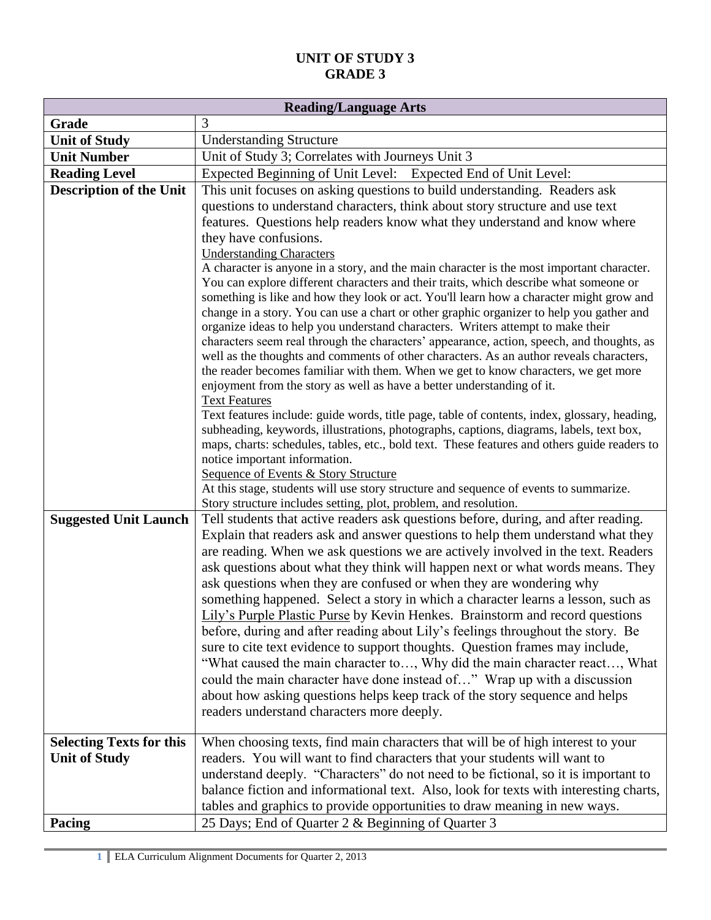| <b>Reading/Language Arts</b>    |                                                                                                                                                                                  |  |
|---------------------------------|----------------------------------------------------------------------------------------------------------------------------------------------------------------------------------|--|
| Grade                           | 3                                                                                                                                                                                |  |
| <b>Unit of Study</b>            | <b>Understanding Structure</b>                                                                                                                                                   |  |
| <b>Unit Number</b>              | Unit of Study 3; Correlates with Journeys Unit 3                                                                                                                                 |  |
| <b>Reading Level</b>            | Expected Beginning of Unit Level: Expected End of Unit Level:                                                                                                                    |  |
| <b>Description of the Unit</b>  | This unit focuses on asking questions to build understanding. Readers ask                                                                                                        |  |
|                                 | questions to understand characters, think about story structure and use text                                                                                                     |  |
|                                 | features. Questions help readers know what they understand and know where                                                                                                        |  |
|                                 | they have confusions.                                                                                                                                                            |  |
|                                 | <b>Understanding Characters</b>                                                                                                                                                  |  |
|                                 | A character is anyone in a story, and the main character is the most important character.                                                                                        |  |
|                                 | You can explore different characters and their traits, which describe what someone or<br>something is like and how they look or act. You'll learn how a character might grow and |  |
|                                 | change in a story. You can use a chart or other graphic organizer to help you gather and                                                                                         |  |
|                                 | organize ideas to help you understand characters. Writers attempt to make their                                                                                                  |  |
|                                 | characters seem real through the characters' appearance, action, speech, and thoughts, as                                                                                        |  |
|                                 | well as the thoughts and comments of other characters. As an author reveals characters,                                                                                          |  |
|                                 | the reader becomes familiar with them. When we get to know characters, we get more                                                                                               |  |
|                                 | enjoyment from the story as well as have a better understanding of it.                                                                                                           |  |
|                                 | <b>Text Features</b><br>Text features include: guide words, title page, table of contents, index, glossary, heading,                                                             |  |
|                                 | subheading, keywords, illustrations, photographs, captions, diagrams, labels, text box,                                                                                          |  |
|                                 | maps, charts: schedules, tables, etc., bold text. These features and others guide readers to                                                                                     |  |
|                                 | notice important information.                                                                                                                                                    |  |
|                                 | <b>Sequence of Events &amp; Story Structure</b>                                                                                                                                  |  |
|                                 | At this stage, students will use story structure and sequence of events to summarize.                                                                                            |  |
|                                 | Story structure includes setting, plot, problem, and resolution.                                                                                                                 |  |
| <b>Suggested Unit Launch</b>    | Tell students that active readers ask questions before, during, and after reading.                                                                                               |  |
|                                 | Explain that readers ask and answer questions to help them understand what they                                                                                                  |  |
|                                 | are reading. When we ask questions we are actively involved in the text. Readers                                                                                                 |  |
|                                 | ask questions about what they think will happen next or what words means. They                                                                                                   |  |
|                                 | ask questions when they are confused or when they are wondering why                                                                                                              |  |
|                                 | something happened. Select a story in which a character learns a lesson, such as                                                                                                 |  |
|                                 | Lily's Purple Plastic Purse by Kevin Henkes. Brainstorm and record questions                                                                                                     |  |
|                                 | before, during and after reading about Lily's feelings throughout the story. Be                                                                                                  |  |
|                                 | sure to cite text evidence to support thoughts. Question frames may include,                                                                                                     |  |
|                                 | "What caused the main character to, Why did the main character react, What                                                                                                       |  |
|                                 | could the main character have done instead of" Wrap up with a discussion                                                                                                         |  |
|                                 | about how asking questions helps keep track of the story sequence and helps                                                                                                      |  |
|                                 | readers understand characters more deeply.                                                                                                                                       |  |
| <b>Selecting Texts for this</b> | When choosing texts, find main characters that will be of high interest to your                                                                                                  |  |
| <b>Unit of Study</b>            | readers. You will want to find characters that your students will want to                                                                                                        |  |
|                                 | understand deeply. "Characters" do not need to be fictional, so it is important to                                                                                               |  |
|                                 | balance fiction and informational text. Also, look for texts with interesting charts,                                                                                            |  |
|                                 | tables and graphics to provide opportunities to draw meaning in new ways.                                                                                                        |  |
| Pacing                          | 25 Days; End of Quarter 2 & Beginning of Quarter 3                                                                                                                               |  |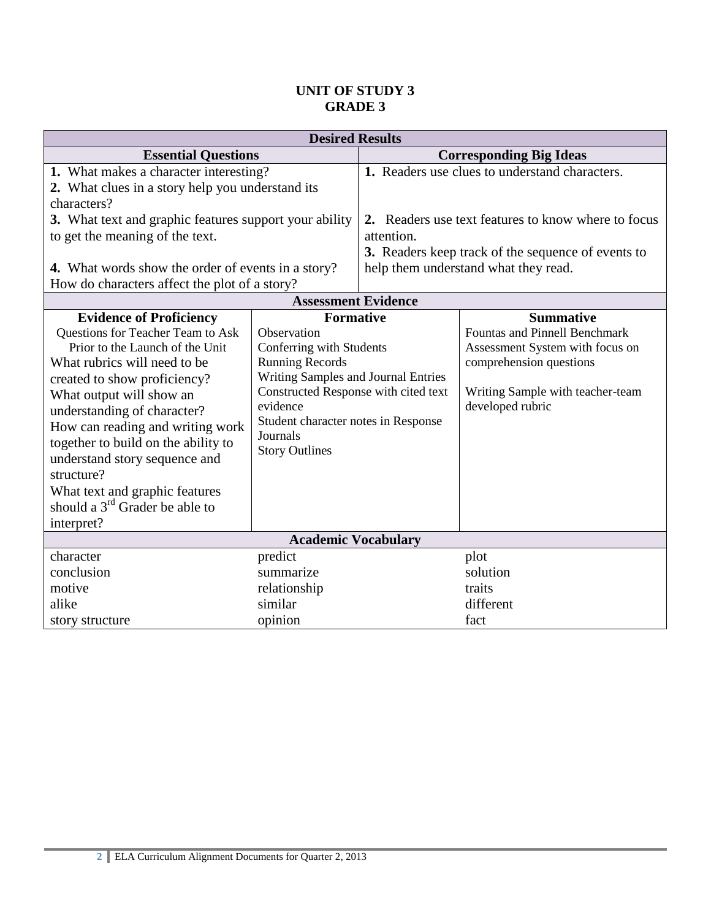| <b>Desired Results</b>                                                                                                                                                                                                                                                                                                                                                                                                                          |                                                                                                                                                                                                                                                              |                                                                                                                                                                 |                                                                                                                                                            |  |
|-------------------------------------------------------------------------------------------------------------------------------------------------------------------------------------------------------------------------------------------------------------------------------------------------------------------------------------------------------------------------------------------------------------------------------------------------|--------------------------------------------------------------------------------------------------------------------------------------------------------------------------------------------------------------------------------------------------------------|-----------------------------------------------------------------------------------------------------------------------------------------------------------------|------------------------------------------------------------------------------------------------------------------------------------------------------------|--|
| <b>Essential Questions</b>                                                                                                                                                                                                                                                                                                                                                                                                                      |                                                                                                                                                                                                                                                              | <b>Corresponding Big Ideas</b>                                                                                                                                  |                                                                                                                                                            |  |
| 1. What makes a character interesting?<br>2. What clues in a story help you understand its                                                                                                                                                                                                                                                                                                                                                      |                                                                                                                                                                                                                                                              |                                                                                                                                                                 | 1. Readers use clues to understand characters.                                                                                                             |  |
| characters?<br>3. What text and graphic features support your ability<br>to get the meaning of the text.<br><b>4.</b> What words show the order of events in a story?                                                                                                                                                                                                                                                                           |                                                                                                                                                                                                                                                              | 2. Readers use text features to know where to focus<br>attention.<br>3. Readers keep track of the sequence of events to<br>help them understand what they read. |                                                                                                                                                            |  |
| How do characters affect the plot of a story?                                                                                                                                                                                                                                                                                                                                                                                                   |                                                                                                                                                                                                                                                              |                                                                                                                                                                 |                                                                                                                                                            |  |
|                                                                                                                                                                                                                                                                                                                                                                                                                                                 | <b>Assessment Evidence</b>                                                                                                                                                                                                                                   |                                                                                                                                                                 | <b>Summative</b>                                                                                                                                           |  |
| <b>Evidence of Proficiency</b><br>Questions for Teacher Team to Ask<br>Prior to the Launch of the Unit<br>What rubrics will need to be<br>created to show proficiency?<br>What output will show an<br>understanding of character?<br>How can reading and writing work<br>together to build on the ability to<br>understand story sequence and<br>structure?<br>What text and graphic features<br>should a $3rd$ Grader be able to<br>interpret? | <b>Formative</b><br>Observation<br>Conferring with Students<br><b>Running Records</b><br>Writing Samples and Journal Entries<br>Constructed Response with cited text<br>evidence<br>Student character notes in Response<br>Journals<br><b>Story Outlines</b> |                                                                                                                                                                 | <b>Fountas and Pinnell Benchmark</b><br>Assessment System with focus on<br>comprehension questions<br>Writing Sample with teacher-team<br>developed rubric |  |
| <b>Academic Vocabulary</b>                                                                                                                                                                                                                                                                                                                                                                                                                      |                                                                                                                                                                                                                                                              |                                                                                                                                                                 |                                                                                                                                                            |  |
| character<br>conclusion<br>motive<br>alike<br>story structure                                                                                                                                                                                                                                                                                                                                                                                   | predict<br>summarize<br>relationship<br>similar<br>opinion                                                                                                                                                                                                   |                                                                                                                                                                 | plot<br>solution<br>traits<br>different<br>fact                                                                                                            |  |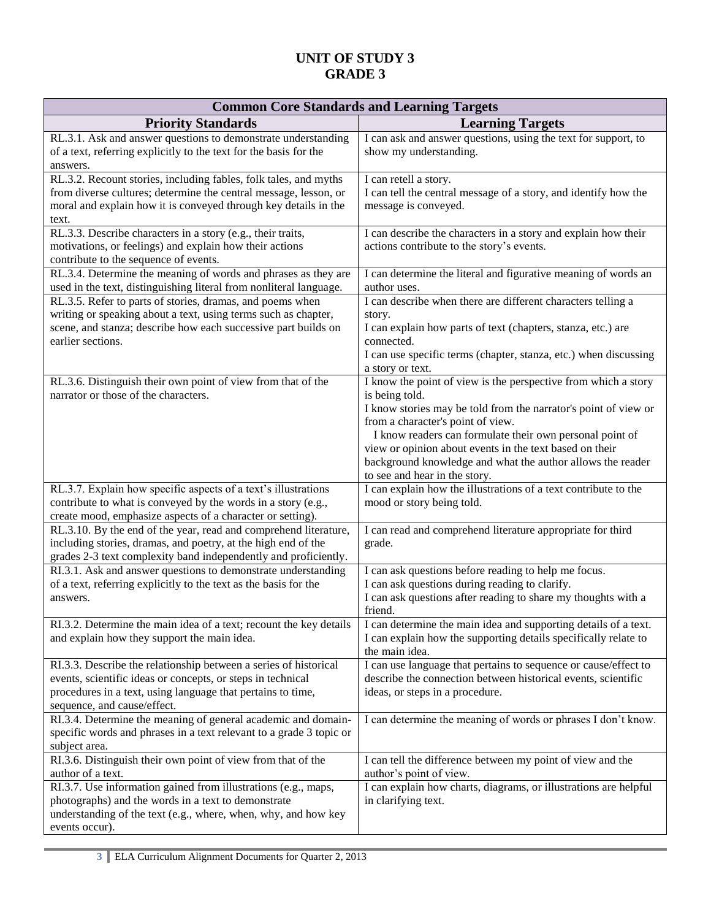| <b>Common Core Standards and Learning Targets</b>                                                                                                                                                                             |                                                                                                                                                                                                                                                                                                                                                                                                                |  |  |
|-------------------------------------------------------------------------------------------------------------------------------------------------------------------------------------------------------------------------------|----------------------------------------------------------------------------------------------------------------------------------------------------------------------------------------------------------------------------------------------------------------------------------------------------------------------------------------------------------------------------------------------------------------|--|--|
| <b>Priority Standards</b>                                                                                                                                                                                                     | <b>Learning Targets</b>                                                                                                                                                                                                                                                                                                                                                                                        |  |  |
| RL.3.1. Ask and answer questions to demonstrate understanding<br>of a text, referring explicitly to the text for the basis for the<br>answers.                                                                                | I can ask and answer questions, using the text for support, to<br>show my understanding.                                                                                                                                                                                                                                                                                                                       |  |  |
| RL.3.2. Recount stories, including fables, folk tales, and myths<br>from diverse cultures; determine the central message, lesson, or<br>moral and explain how it is conveyed through key details in the<br>text.              | I can retell a story.<br>I can tell the central message of a story, and identify how the<br>message is conveyed.                                                                                                                                                                                                                                                                                               |  |  |
| RL.3.3. Describe characters in a story (e.g., their traits,<br>motivations, or feelings) and explain how their actions<br>contribute to the sequence of events.                                                               | I can describe the characters in a story and explain how their<br>actions contribute to the story's events.                                                                                                                                                                                                                                                                                                    |  |  |
| RL.3.4. Determine the meaning of words and phrases as they are<br>used in the text, distinguishing literal from nonliteral language.                                                                                          | I can determine the literal and figurative meaning of words an<br>author uses.                                                                                                                                                                                                                                                                                                                                 |  |  |
| RL.3.5. Refer to parts of stories, dramas, and poems when<br>writing or speaking about a text, using terms such as chapter,<br>scene, and stanza; describe how each successive part builds on<br>earlier sections.            | I can describe when there are different characters telling a<br>story.<br>I can explain how parts of text (chapters, stanza, etc.) are<br>connected.<br>I can use specific terms (chapter, stanza, etc.) when discussing                                                                                                                                                                                       |  |  |
|                                                                                                                                                                                                                               | a story or text.                                                                                                                                                                                                                                                                                                                                                                                               |  |  |
| RL.3.6. Distinguish their own point of view from that of the<br>narrator or those of the characters.                                                                                                                          | I know the point of view is the perspective from which a story<br>is being told.<br>I know stories may be told from the narrator's point of view or<br>from a character's point of view.<br>I know readers can formulate their own personal point of<br>view or opinion about events in the text based on their<br>background knowledge and what the author allows the reader<br>to see and hear in the story. |  |  |
| RL.3.7. Explain how specific aspects of a text's illustrations<br>contribute to what is conveyed by the words in a story (e.g.,<br>create mood, emphasize aspects of a character or setting).                                 | I can explain how the illustrations of a text contribute to the<br>mood or story being told.                                                                                                                                                                                                                                                                                                                   |  |  |
| RL.3.10. By the end of the year, read and comprehend literature,<br>including stories, dramas, and poetry, at the high end of the<br>grades 2-3 text complexity band independently and proficiently.                          | I can read and comprehend literature appropriate for third<br>grade.                                                                                                                                                                                                                                                                                                                                           |  |  |
| RI.3.1. Ask and answer questions to demonstrate understanding<br>of a text, referring explicitly to the text as the basis for the<br>answers.                                                                                 | I can ask questions before reading to help me focus.<br>I can ask questions during reading to clarify.<br>I can ask questions after reading to share my thoughts with a<br>friend.                                                                                                                                                                                                                             |  |  |
| RI.3.2. Determine the main idea of a text; recount the key details<br>and explain how they support the main idea.                                                                                                             | I can determine the main idea and supporting details of a text.<br>I can explain how the supporting details specifically relate to<br>the main idea.                                                                                                                                                                                                                                                           |  |  |
| RI.3.3. Describe the relationship between a series of historical<br>events, scientific ideas or concepts, or steps in technical<br>procedures in a text, using language that pertains to time,<br>sequence, and cause/effect. | I can use language that pertains to sequence or cause/effect to<br>describe the connection between historical events, scientific<br>ideas, or steps in a procedure.                                                                                                                                                                                                                                            |  |  |
| RI.3.4. Determine the meaning of general academic and domain-<br>specific words and phrases in a text relevant to a grade 3 topic or<br>subject area.                                                                         | I can determine the meaning of words or phrases I don't know.                                                                                                                                                                                                                                                                                                                                                  |  |  |
| RI.3.6. Distinguish their own point of view from that of the<br>author of a text.                                                                                                                                             | I can tell the difference between my point of view and the<br>author's point of view.                                                                                                                                                                                                                                                                                                                          |  |  |
| RI.3.7. Use information gained from illustrations (e.g., maps,<br>photographs) and the words in a text to demonstrate<br>understanding of the text (e.g., where, when, why, and how key<br>events occur).                     | I can explain how charts, diagrams, or illustrations are helpful<br>in clarifying text.                                                                                                                                                                                                                                                                                                                        |  |  |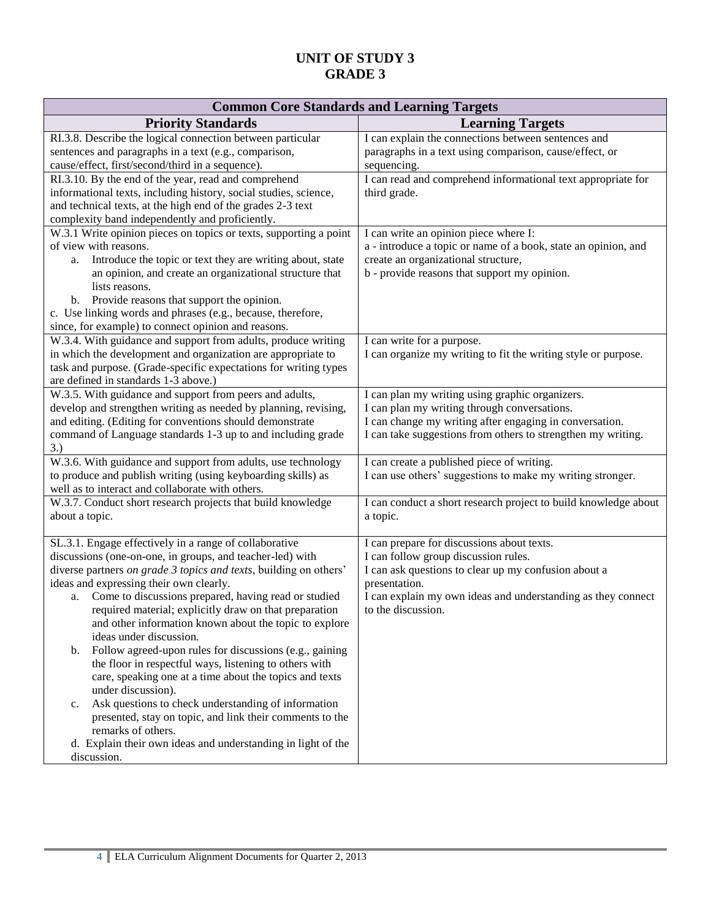| <b>Common Core Standards and Learning Targets</b>                                                                                                                                                                                                                                                                                                                                                                                                                                                                                                                                                                                                                                                                                                                                                                                                                                          |                                                                                                                                                                                                                                                   |  |
|--------------------------------------------------------------------------------------------------------------------------------------------------------------------------------------------------------------------------------------------------------------------------------------------------------------------------------------------------------------------------------------------------------------------------------------------------------------------------------------------------------------------------------------------------------------------------------------------------------------------------------------------------------------------------------------------------------------------------------------------------------------------------------------------------------------------------------------------------------------------------------------------|---------------------------------------------------------------------------------------------------------------------------------------------------------------------------------------------------------------------------------------------------|--|
| <b>Priority Standards</b>                                                                                                                                                                                                                                                                                                                                                                                                                                                                                                                                                                                                                                                                                                                                                                                                                                                                  | <b>Learning Targets</b>                                                                                                                                                                                                                           |  |
| RI.3.8. Describe the logical connection between particular<br>sentences and paragraphs in a text (e.g., comparison,<br>cause/effect, first/second/third in a sequence).                                                                                                                                                                                                                                                                                                                                                                                                                                                                                                                                                                                                                                                                                                                    | I can explain the connections between sentences and<br>paragraphs in a text using comparison, cause/effect, or<br>sequencing.                                                                                                                     |  |
| RI.3.10. By the end of the year, read and comprehend<br>informational texts, including history, social studies, science,<br>and technical texts, at the high end of the grades 2-3 text<br>complexity band independently and proficiently.                                                                                                                                                                                                                                                                                                                                                                                                                                                                                                                                                                                                                                                 | I can read and comprehend informational text appropriate for<br>third grade.                                                                                                                                                                      |  |
| W.3.1 Write opinion pieces on topics or texts, supporting a point<br>of view with reasons.<br>Introduce the topic or text they are writing about, state<br>a.<br>an opinion, and create an organizational structure that<br>lists reasons.<br>Provide reasons that support the opinion.<br>b.<br>c. Use linking words and phrases (e.g., because, therefore,<br>since, for example) to connect opinion and reasons.                                                                                                                                                                                                                                                                                                                                                                                                                                                                        | I can write an opinion piece where I:<br>a - introduce a topic or name of a book, state an opinion, and<br>create an organizational structure,<br>b - provide reasons that support my opinion.                                                    |  |
| W.3.4. With guidance and support from adults, produce writing<br>in which the development and organization are appropriate to<br>task and purpose. (Grade-specific expectations for writing types<br>are defined in standards 1-3 above.)                                                                                                                                                                                                                                                                                                                                                                                                                                                                                                                                                                                                                                                  | I can write for a purpose.<br>I can organize my writing to fit the writing style or purpose.                                                                                                                                                      |  |
| W.3.5. With guidance and support from peers and adults,<br>develop and strengthen writing as needed by planning, revising,<br>and editing. (Editing for conventions should demonstrate<br>command of Language standards 1-3 up to and including grade<br>3.)                                                                                                                                                                                                                                                                                                                                                                                                                                                                                                                                                                                                                               | I can plan my writing using graphic organizers.<br>I can plan my writing through conversations.<br>I can change my writing after engaging in conversation.<br>I can take suggestions from others to strengthen my writing.                        |  |
| W.3.6. With guidance and support from adults, use technology<br>to produce and publish writing (using keyboarding skills) as<br>well as to interact and collaborate with others.                                                                                                                                                                                                                                                                                                                                                                                                                                                                                                                                                                                                                                                                                                           | I can create a published piece of writing.<br>I can use others' suggestions to make my writing stronger.                                                                                                                                          |  |
| W.3.7. Conduct short research projects that build knowledge<br>about a topic.                                                                                                                                                                                                                                                                                                                                                                                                                                                                                                                                                                                                                                                                                                                                                                                                              | I can conduct a short research project to build knowledge about<br>a topic.                                                                                                                                                                       |  |
| SL.3.1. Engage effectively in a range of collaborative<br>discussions (one-on-one, in groups, and teacher-led) with<br>diverse partners on grade 3 topics and texts, building on others'<br>ideas and expressing their own clearly.<br>Come to discussions prepared, having read or studied<br>a.<br>required material; explicitly draw on that preparation<br>and other information known about the topic to explore<br>ideas under discussion.<br>Follow agreed-upon rules for discussions (e.g., gaining<br>b.<br>the floor in respectful ways, listening to others with<br>care, speaking one at a time about the topics and texts<br>under discussion).<br>Ask questions to check understanding of information<br>c.<br>presented, stay on topic, and link their comments to the<br>remarks of others.<br>d. Explain their own ideas and understanding in light of the<br>discussion. | I can prepare for discussions about texts.<br>I can follow group discussion rules.<br>I can ask questions to clear up my confusion about a<br>presentation.<br>I can explain my own ideas and understanding as they connect<br>to the discussion. |  |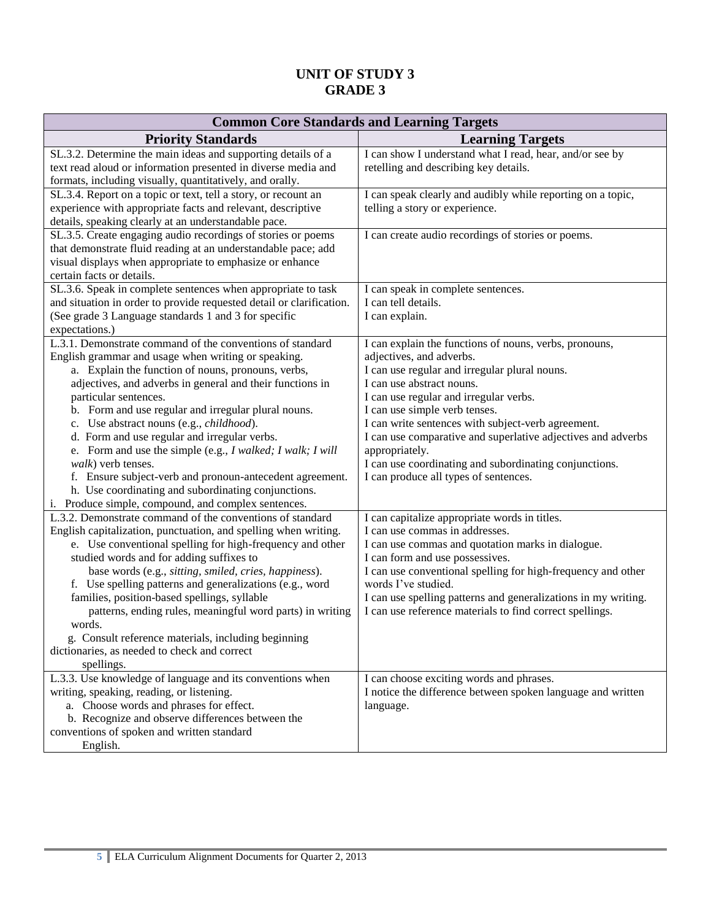| <b>Common Core Standards and Learning Targets</b>                                                                                                                                                                                                                                                                                                                                                                                                                                                                                                                                                                                                                                     |                                                                                                                                                                                                                                                                                                                                                                                                                                                                                        |  |
|---------------------------------------------------------------------------------------------------------------------------------------------------------------------------------------------------------------------------------------------------------------------------------------------------------------------------------------------------------------------------------------------------------------------------------------------------------------------------------------------------------------------------------------------------------------------------------------------------------------------------------------------------------------------------------------|----------------------------------------------------------------------------------------------------------------------------------------------------------------------------------------------------------------------------------------------------------------------------------------------------------------------------------------------------------------------------------------------------------------------------------------------------------------------------------------|--|
| <b>Priority Standards</b>                                                                                                                                                                                                                                                                                                                                                                                                                                                                                                                                                                                                                                                             | <b>Learning Targets</b>                                                                                                                                                                                                                                                                                                                                                                                                                                                                |  |
| SL.3.2. Determine the main ideas and supporting details of a<br>text read aloud or information presented in diverse media and<br>formats, including visually, quantitatively, and orally.                                                                                                                                                                                                                                                                                                                                                                                                                                                                                             | I can show I understand what I read, hear, and/or see by<br>retelling and describing key details.                                                                                                                                                                                                                                                                                                                                                                                      |  |
| SL.3.4. Report on a topic or text, tell a story, or recount an<br>experience with appropriate facts and relevant, descriptive<br>details, speaking clearly at an understandable pace.                                                                                                                                                                                                                                                                                                                                                                                                                                                                                                 | I can speak clearly and audibly while reporting on a topic,<br>telling a story or experience.                                                                                                                                                                                                                                                                                                                                                                                          |  |
| SL.3.5. Create engaging audio recordings of stories or poems<br>that demonstrate fluid reading at an understandable pace; add<br>visual displays when appropriate to emphasize or enhance<br>certain facts or details.                                                                                                                                                                                                                                                                                                                                                                                                                                                                | I can create audio recordings of stories or poems.                                                                                                                                                                                                                                                                                                                                                                                                                                     |  |
| SL.3.6. Speak in complete sentences when appropriate to task<br>and situation in order to provide requested detail or clarification.<br>(See grade 3 Language standards 1 and 3 for specific<br>expectations.)                                                                                                                                                                                                                                                                                                                                                                                                                                                                        | I can speak in complete sentences.<br>I can tell details.<br>I can explain.                                                                                                                                                                                                                                                                                                                                                                                                            |  |
| L.3.1. Demonstrate command of the conventions of standard<br>English grammar and usage when writing or speaking.<br>a. Explain the function of nouns, pronouns, verbs,<br>adjectives, and adverbs in general and their functions in<br>particular sentences.<br>b. Form and use regular and irregular plural nouns.<br>c. Use abstract nouns (e.g., childhood).<br>d. Form and use regular and irregular verbs.<br>e. Form and use the simple (e.g., I walked; I walk; I will<br><i>walk</i> ) verb tenses.<br>f. Ensure subject-verb and pronoun-antecedent agreement.<br>h. Use coordinating and subordinating conjunctions.<br>i. Produce simple, compound, and complex sentences. | I can explain the functions of nouns, verbs, pronouns,<br>adjectives, and adverbs.<br>I can use regular and irregular plural nouns.<br>I can use abstract nouns.<br>I can use regular and irregular verbs.<br>I can use simple verb tenses.<br>I can write sentences with subject-verb agreement.<br>I can use comparative and superlative adjectives and adverbs<br>appropriately.<br>I can use coordinating and subordinating conjunctions.<br>I can produce all types of sentences. |  |
| L.3.2. Demonstrate command of the conventions of standard<br>English capitalization, punctuation, and spelling when writing.<br>e. Use conventional spelling for high-frequency and other<br>studied words and for adding suffixes to<br>base words (e.g., sitting, smiled, cries, happiness).<br>f. Use spelling patterns and generalizations (e.g., word<br>families, position-based spellings, syllable<br>patterns, ending rules, meaningful word parts) in writing<br>words.<br>g. Consult reference materials, including beginning<br>dictionaries, as needed to check and correct<br>spellings.                                                                                | I can capitalize appropriate words in titles.<br>I can use commas in addresses.<br>I can use commas and quotation marks in dialogue.<br>I can form and use possessives.<br>I can use conventional spelling for high-frequency and other<br>words I've studied.<br>I can use spelling patterns and generalizations in my writing.<br>I can use reference materials to find correct spellings.                                                                                           |  |
| L.3.3. Use knowledge of language and its conventions when<br>writing, speaking, reading, or listening.<br>a. Choose words and phrases for effect.<br>b. Recognize and observe differences between the<br>conventions of spoken and written standard<br>English.                                                                                                                                                                                                                                                                                                                                                                                                                       | I can choose exciting words and phrases.<br>I notice the difference between spoken language and written<br>language.                                                                                                                                                                                                                                                                                                                                                                   |  |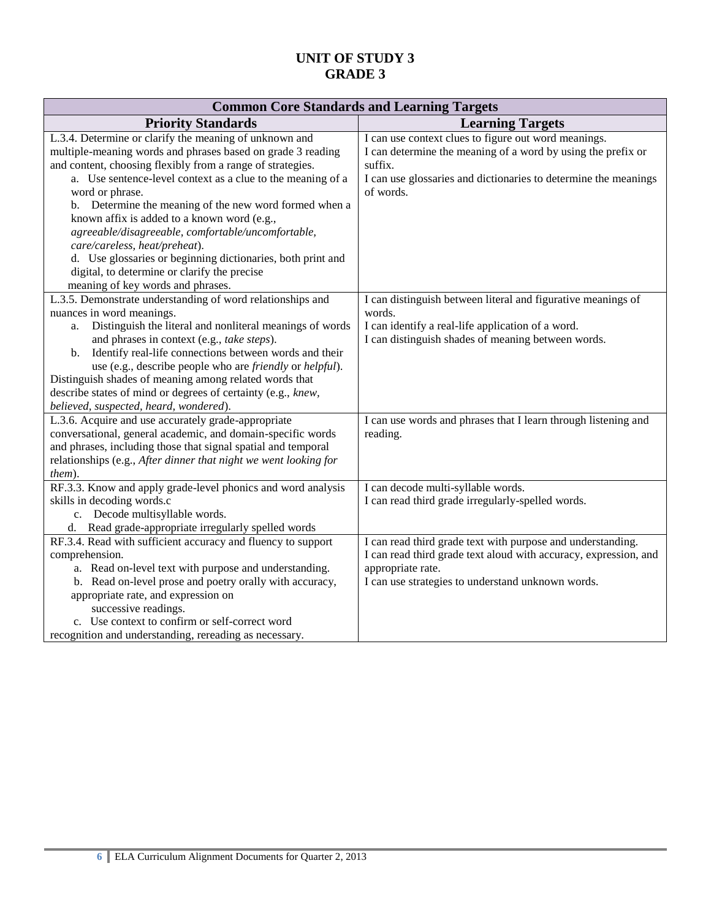| <b>Common Core Standards and Learning Targets</b>                                                                                                                                                                                                                                                                                                                                                                                                                                                                                                                                                                         |                                                                                                                                                                                                                 |  |
|---------------------------------------------------------------------------------------------------------------------------------------------------------------------------------------------------------------------------------------------------------------------------------------------------------------------------------------------------------------------------------------------------------------------------------------------------------------------------------------------------------------------------------------------------------------------------------------------------------------------------|-----------------------------------------------------------------------------------------------------------------------------------------------------------------------------------------------------------------|--|
| <b>Priority Standards</b>                                                                                                                                                                                                                                                                                                                                                                                                                                                                                                                                                                                                 | <b>Learning Targets</b>                                                                                                                                                                                         |  |
| L.3.4. Determine or clarify the meaning of unknown and<br>multiple-meaning words and phrases based on grade 3 reading<br>and content, choosing flexibly from a range of strategies.<br>a. Use sentence-level context as a clue to the meaning of a<br>word or phrase.<br>b. Determine the meaning of the new word formed when a<br>known affix is added to a known word (e.g.,<br>agreeable/disagreeable, comfortable/uncomfortable,<br>care/careless, heat/preheat).<br>d. Use glossaries or beginning dictionaries, both print and<br>digital, to determine or clarify the precise<br>meaning of key words and phrases. | I can use context clues to figure out word meanings.<br>I can determine the meaning of a word by using the prefix or<br>suffix.<br>I can use glossaries and dictionaries to determine the meanings<br>of words. |  |
| L.3.5. Demonstrate understanding of word relationships and<br>nuances in word meanings.<br>Distinguish the literal and nonliteral meanings of words<br>a.<br>and phrases in context (e.g., take steps).<br>Identify real-life connections between words and their<br>$\mathbf{b}$ .<br>use (e.g., describe people who are <i>friendly</i> or <i>helpful</i> ).<br>Distinguish shades of meaning among related words that<br>describe states of mind or degrees of certainty (e.g., knew,<br>believed, suspected, heard, wondered).                                                                                        | I can distinguish between literal and figurative meanings of<br>words.<br>I can identify a real-life application of a word.<br>I can distinguish shades of meaning between words.                               |  |
| L.3.6. Acquire and use accurately grade-appropriate<br>conversational, general academic, and domain-specific words<br>and phrases, including those that signal spatial and temporal<br>relationships (e.g., After dinner that night we went looking for<br>them).                                                                                                                                                                                                                                                                                                                                                         | I can use words and phrases that I learn through listening and<br>reading.                                                                                                                                      |  |
| RF.3.3. Know and apply grade-level phonics and word analysis<br>skills in decoding words.c<br>c. Decode multisyllable words.<br>d. Read grade-appropriate irregularly spelled words                                                                                                                                                                                                                                                                                                                                                                                                                                       | I can decode multi-syllable words.<br>I can read third grade irregularly-spelled words.                                                                                                                         |  |
| RF.3.4. Read with sufficient accuracy and fluency to support<br>comprehension.<br>a. Read on-level text with purpose and understanding.<br>b. Read on-level prose and poetry orally with accuracy,<br>appropriate rate, and expression on<br>successive readings.<br>c. Use context to confirm or self-correct word<br>recognition and understanding, rereading as necessary.                                                                                                                                                                                                                                             | I can read third grade text with purpose and understanding.<br>I can read third grade text aloud with accuracy, expression, and<br>appropriate rate.<br>I can use strategies to understand unknown words.       |  |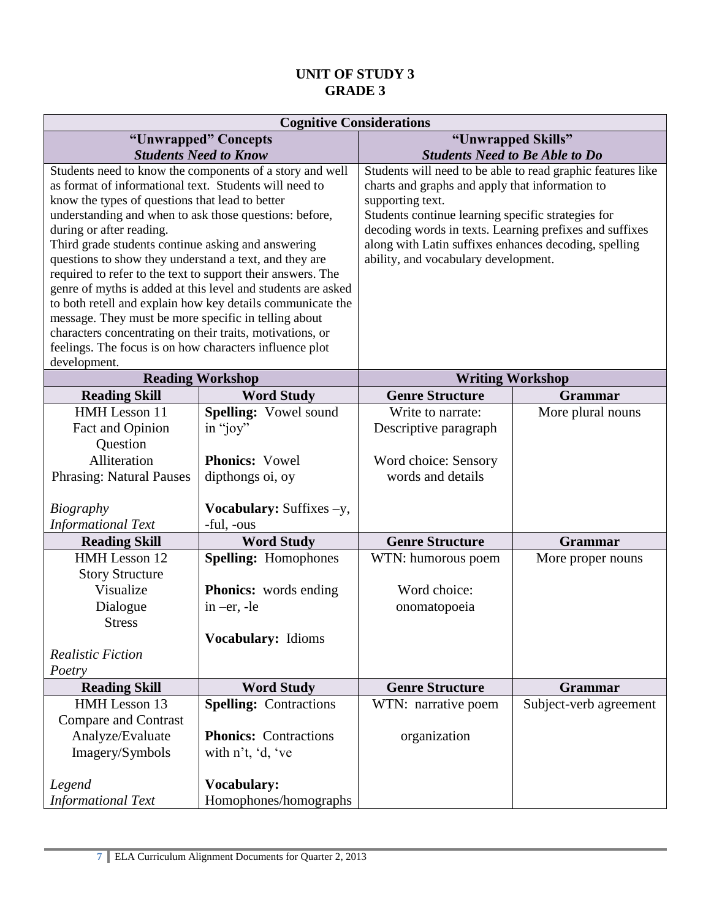| <b>Cognitive Considerations</b>                                                                              |                                                              |                                                                                               |                         |
|--------------------------------------------------------------------------------------------------------------|--------------------------------------------------------------|-----------------------------------------------------------------------------------------------|-------------------------|
| "Unwrapped" Concepts                                                                                         |                                                              | "Unwrapped Skills"                                                                            |                         |
| <b>Students Need to Know</b>                                                                                 |                                                              | <b>Students Need to Be Able to Do</b>                                                         |                         |
| Students need to know the components of a story and well                                                     |                                                              | Students will need to be able to read graphic features like                                   |                         |
| as format of informational text. Students will need to                                                       |                                                              | charts and graphs and apply that information to                                               |                         |
| know the types of questions that lead to better                                                              |                                                              | supporting text.                                                                              |                         |
| understanding and when to ask those questions: before,                                                       |                                                              | Students continue learning specific strategies for                                            |                         |
| during or after reading.                                                                                     |                                                              | decoding words in texts. Learning prefixes and suffixes                                       |                         |
| Third grade students continue asking and answering<br>questions to show they understand a text, and they are |                                                              | along with Latin suffixes enhances decoding, spelling<br>ability, and vocabulary development. |                         |
| required to refer to the text to support their answers. The                                                  |                                                              |                                                                                               |                         |
|                                                                                                              | genre of myths is added at this level and students are asked |                                                                                               |                         |
|                                                                                                              | to both retell and explain how key details communicate the   |                                                                                               |                         |
| message. They must be more specific in telling about                                                         |                                                              |                                                                                               |                         |
| characters concentrating on their traits, motivations, or                                                    |                                                              |                                                                                               |                         |
| feelings. The focus is on how characters influence plot                                                      |                                                              |                                                                                               |                         |
| development.                                                                                                 |                                                              |                                                                                               |                         |
|                                                                                                              | <b>Reading Workshop</b>                                      |                                                                                               | <b>Writing Workshop</b> |
| <b>Reading Skill</b>                                                                                         | <b>Word Study</b>                                            | <b>Genre Structure</b>                                                                        | <b>Grammar</b>          |
| HMH Lesson 11                                                                                                | Spelling: Vowel sound                                        | Write to narrate:                                                                             | More plural nouns       |
| Fact and Opinion                                                                                             | in "joy"                                                     | Descriptive paragraph                                                                         |                         |
| Question                                                                                                     |                                                              |                                                                                               |                         |
| Alliteration                                                                                                 | <b>Phonics: Vowel</b>                                        | Word choice: Sensory                                                                          |                         |
| <b>Phrasing: Natural Pauses</b>                                                                              | dipthongs oi, oy                                             | words and details                                                                             |                         |
|                                                                                                              |                                                              |                                                                                               |                         |
| <b>Biography</b>                                                                                             | <b>Vocabulary:</b> Suffixes $-y$ ,                           |                                                                                               |                         |
| <b>Informational Text</b>                                                                                    | -ful, -ous                                                   |                                                                                               |                         |
| <b>Reading Skill</b>                                                                                         | <b>Word Study</b>                                            | <b>Genre Structure</b>                                                                        | <b>Grammar</b>          |
| HMH Lesson 12                                                                                                | <b>Spelling:</b> Homophones                                  | WTN: humorous poem                                                                            | More proper nouns       |
| <b>Story Structure</b>                                                                                       |                                                              |                                                                                               |                         |
| Visualize                                                                                                    | <b>Phonics:</b> words ending                                 | Word choice:                                                                                  |                         |
| Dialogue                                                                                                     | in $-er$ , $-le$                                             | onomatopoeia                                                                                  |                         |
| <b>Stress</b>                                                                                                |                                                              |                                                                                               |                         |
|                                                                                                              | Vocabulary: Idioms                                           |                                                                                               |                         |
| <b>Realistic Fiction</b>                                                                                     |                                                              |                                                                                               |                         |
| Poetry                                                                                                       |                                                              |                                                                                               |                         |
| <b>Reading Skill</b>                                                                                         | <b>Word Study</b>                                            | <b>Genre Structure</b>                                                                        | Grammar                 |
| HMH Lesson 13                                                                                                | <b>Spelling: Contractions</b>                                | WTN: narrative poem                                                                           | Subject-verb agreement  |
| <b>Compare and Contrast</b>                                                                                  |                                                              |                                                                                               |                         |
| Analyze/Evaluate                                                                                             | <b>Phonics:</b> Contractions                                 | organization                                                                                  |                         |
| Imagery/Symbols                                                                                              | with n't, 'd, 've                                            |                                                                                               |                         |
|                                                                                                              |                                                              |                                                                                               |                         |
| Legend                                                                                                       | Vocabulary:                                                  |                                                                                               |                         |
| <b>Informational Text</b>                                                                                    | Homophones/homographs                                        |                                                                                               |                         |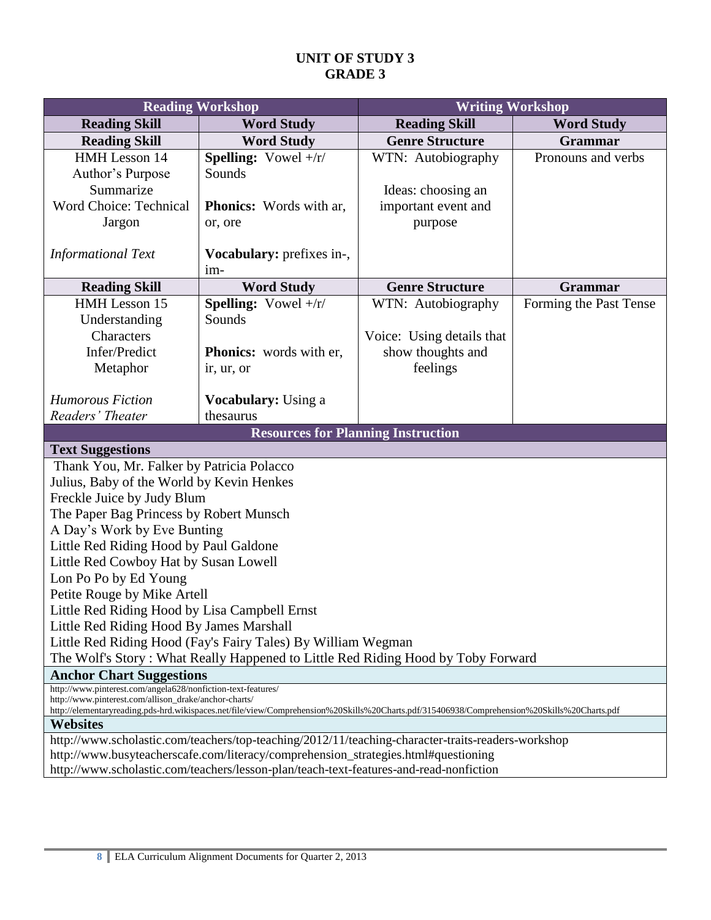| <b>Reading Workshop</b>                                                                                                                                        |                                           | <b>Writing Workshop</b>   |                        |  |
|----------------------------------------------------------------------------------------------------------------------------------------------------------------|-------------------------------------------|---------------------------|------------------------|--|
| <b>Reading Skill</b>                                                                                                                                           | <b>Word Study</b>                         | <b>Reading Skill</b>      | <b>Word Study</b>      |  |
| <b>Reading Skill</b>                                                                                                                                           | <b>Word Study</b>                         | <b>Genre Structure</b>    | Grammar                |  |
| HMH Lesson 14                                                                                                                                                  | <b>Spelling:</b> Vowel $+/r/$             | WTN: Autobiography        | Pronouns and verbs     |  |
| Author's Purpose                                                                                                                                               | Sounds                                    |                           |                        |  |
| Summarize                                                                                                                                                      |                                           | Ideas: choosing an        |                        |  |
| Word Choice: Technical                                                                                                                                         | <b>Phonics:</b> Words with ar,            | important event and       |                        |  |
| Jargon                                                                                                                                                         | or, ore                                   | purpose                   |                        |  |
|                                                                                                                                                                |                                           |                           |                        |  |
| <b>Informational Text</b>                                                                                                                                      | Vocabulary: prefixes in-,                 |                           |                        |  |
|                                                                                                                                                                | $im-$                                     |                           |                        |  |
| <b>Reading Skill</b>                                                                                                                                           | <b>Word Study</b>                         | <b>Genre Structure</b>    | <b>Grammar</b>         |  |
| HMH Lesson 15                                                                                                                                                  | <b>Spelling:</b> Vowel $+$ /r/            | WTN: Autobiography        | Forming the Past Tense |  |
| Understanding                                                                                                                                                  | Sounds                                    |                           |                        |  |
| Characters                                                                                                                                                     |                                           | Voice: Using details that |                        |  |
| Infer/Predict                                                                                                                                                  | Phonics: words with er,                   | show thoughts and         |                        |  |
| Metaphor                                                                                                                                                       | ir, ur, or                                | feelings                  |                        |  |
| <b>Humorous Fiction</b>                                                                                                                                        | <b>Vocabulary:</b> Using a                |                           |                        |  |
| Readers' Theater                                                                                                                                               | thesaurus                                 |                           |                        |  |
|                                                                                                                                                                | <b>Resources for Planning Instruction</b> |                           |                        |  |
| <b>Text Suggestions</b>                                                                                                                                        |                                           |                           |                        |  |
| Thank You, Mr. Falker by Patricia Polacco                                                                                                                      |                                           |                           |                        |  |
| Julius, Baby of the World by Kevin Henkes                                                                                                                      |                                           |                           |                        |  |
| Freckle Juice by Judy Blum                                                                                                                                     |                                           |                           |                        |  |
| The Paper Bag Princess by Robert Munsch                                                                                                                        |                                           |                           |                        |  |
| A Day's Work by Eve Bunting                                                                                                                                    |                                           |                           |                        |  |
| Little Red Riding Hood by Paul Galdone                                                                                                                         |                                           |                           |                        |  |
| Little Red Cowboy Hat by Susan Lowell                                                                                                                          |                                           |                           |                        |  |
| Lon Po Po by Ed Young                                                                                                                                          |                                           |                           |                        |  |
| Petite Rouge by Mike Artell                                                                                                                                    |                                           |                           |                        |  |
| Little Red Riding Hood by Lisa Campbell Ernst                                                                                                                  |                                           |                           |                        |  |
|                                                                                                                                                                | Little Red Riding Hood By James Marshall  |                           |                        |  |
| Little Red Riding Hood (Fay's Fairy Tales) By William Wegman                                                                                                   |                                           |                           |                        |  |
| The Wolf's Story: What Really Happened to Little Red Riding Hood by Toby Forward                                                                               |                                           |                           |                        |  |
| <b>Anchor Chart Suggestions</b>                                                                                                                                |                                           |                           |                        |  |
| http://www.pinterest.com/angela628/nonfiction-text-features/<br>http://www.pinterest.com/allison_drake/anchor-charts/                                          |                                           |                           |                        |  |
| http://elementaryreading.pds-hrd.wikispaces.net/file/view/Comprehension%20Skills%20Charts.pdf/315406938/Comprehension%20Skills%20Charts.pdf<br><b>Websites</b> |                                           |                           |                        |  |
| http://www.scholastic.com/teachers/top-teaching/2012/11/teaching-character-traits-readers-workshop                                                             |                                           |                           |                        |  |
| http://www.busyteacherscafe.com/literacy/comprehension_strategies.html#questioning                                                                             |                                           |                           |                        |  |
| http://www.scholastic.com/teachers/lesson-plan/teach-text-features-and-read-nonfiction                                                                         |                                           |                           |                        |  |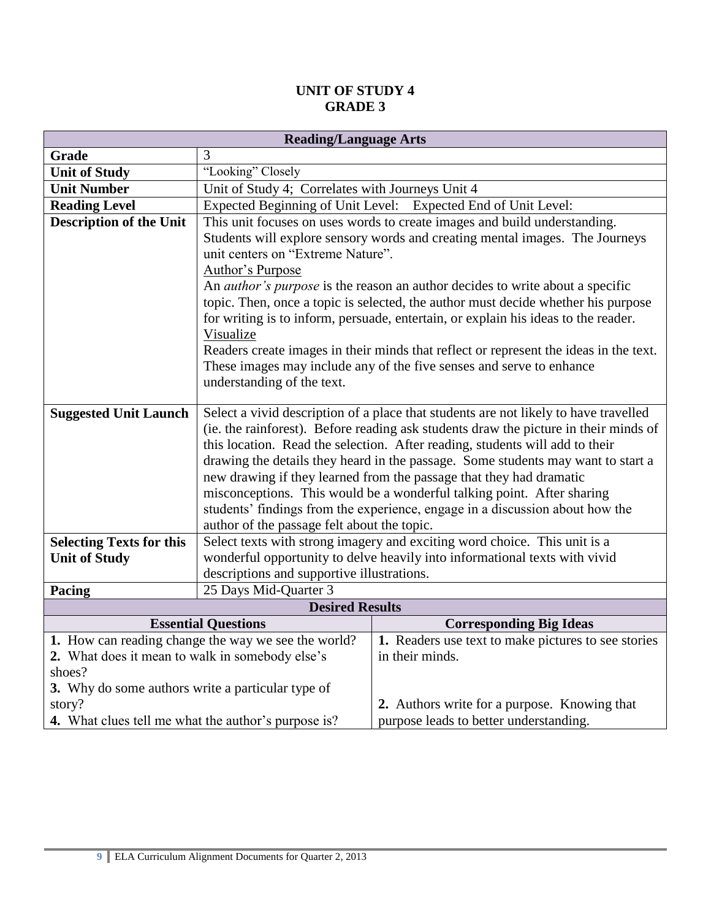| <b>Reading/Language Arts</b>                               |                                                                                                                          |                                                                                       |  |
|------------------------------------------------------------|--------------------------------------------------------------------------------------------------------------------------|---------------------------------------------------------------------------------------|--|
| Grade                                                      | 3                                                                                                                        |                                                                                       |  |
| <b>Unit of Study</b>                                       | "Looking" Closely                                                                                                        |                                                                                       |  |
| <b>Unit Number</b>                                         | Unit of Study 4; Correlates with Journeys Unit 4                                                                         |                                                                                       |  |
| <b>Reading Level</b>                                       |                                                                                                                          | Expected Beginning of Unit Level: Expected End of Unit Level:                         |  |
| <b>Description of the Unit</b>                             |                                                                                                                          | This unit focuses on uses words to create images and build understanding.             |  |
|                                                            |                                                                                                                          | Students will explore sensory words and creating mental images. The Journeys          |  |
|                                                            | unit centers on "Extreme Nature".                                                                                        |                                                                                       |  |
|                                                            | Author's Purpose                                                                                                         |                                                                                       |  |
|                                                            |                                                                                                                          | An <i>author's purpose</i> is the reason an author decides to write about a specific  |  |
|                                                            |                                                                                                                          | topic. Then, once a topic is selected, the author must decide whether his purpose     |  |
|                                                            |                                                                                                                          | for writing is to inform, persuade, entertain, or explain his ideas to the reader.    |  |
|                                                            | Visualize                                                                                                                | Readers create images in their minds that reflect or represent the ideas in the text. |  |
|                                                            |                                                                                                                          | These images may include any of the five senses and serve to enhance                  |  |
|                                                            | understanding of the text.                                                                                               |                                                                                       |  |
|                                                            |                                                                                                                          |                                                                                       |  |
| <b>Suggested Unit Launch</b>                               | Select a vivid description of a place that students are not likely to have travelled                                     |                                                                                       |  |
|                                                            | (ie. the rainforest). Before reading ask students draw the picture in their minds of                                     |                                                                                       |  |
|                                                            |                                                                                                                          | this location. Read the selection. After reading, students will add to their          |  |
|                                                            |                                                                                                                          | drawing the details they heard in the passage. Some students may want to start a      |  |
|                                                            |                                                                                                                          | new drawing if they learned from the passage that they had dramatic                   |  |
|                                                            | misconceptions. This would be a wonderful talking point. After sharing                                                   |                                                                                       |  |
|                                                            | students' findings from the experience, engage in a discussion about how the                                             |                                                                                       |  |
|                                                            | author of the passage felt about the topic.<br>Select texts with strong imagery and exciting word choice. This unit is a |                                                                                       |  |
| <b>Selecting Texts for this</b><br><b>Unit of Study</b>    |                                                                                                                          | wonderful opportunity to delve heavily into informational texts with vivid            |  |
|                                                            | descriptions and supportive illustrations.                                                                               |                                                                                       |  |
| Pacing                                                     | 25 Days Mid-Quarter 3                                                                                                    |                                                                                       |  |
|                                                            | <b>Desired Results</b>                                                                                                   |                                                                                       |  |
|                                                            | <b>Essential Questions</b>                                                                                               | <b>Corresponding Big Ideas</b>                                                        |  |
|                                                            | 1. How can reading change the way we see the world?                                                                      | 1. Readers use text to make pictures to see stories                                   |  |
| 2. What does it mean to walk in somebody else's            |                                                                                                                          | in their minds.                                                                       |  |
| shoes?                                                     |                                                                                                                          |                                                                                       |  |
| 3. Why do some authors write a particular type of          |                                                                                                                          |                                                                                       |  |
| story?                                                     |                                                                                                                          | 2. Authors write for a purpose. Knowing that                                          |  |
| <b>4.</b> What clues tell me what the author's purpose is? |                                                                                                                          | purpose leads to better understanding.                                                |  |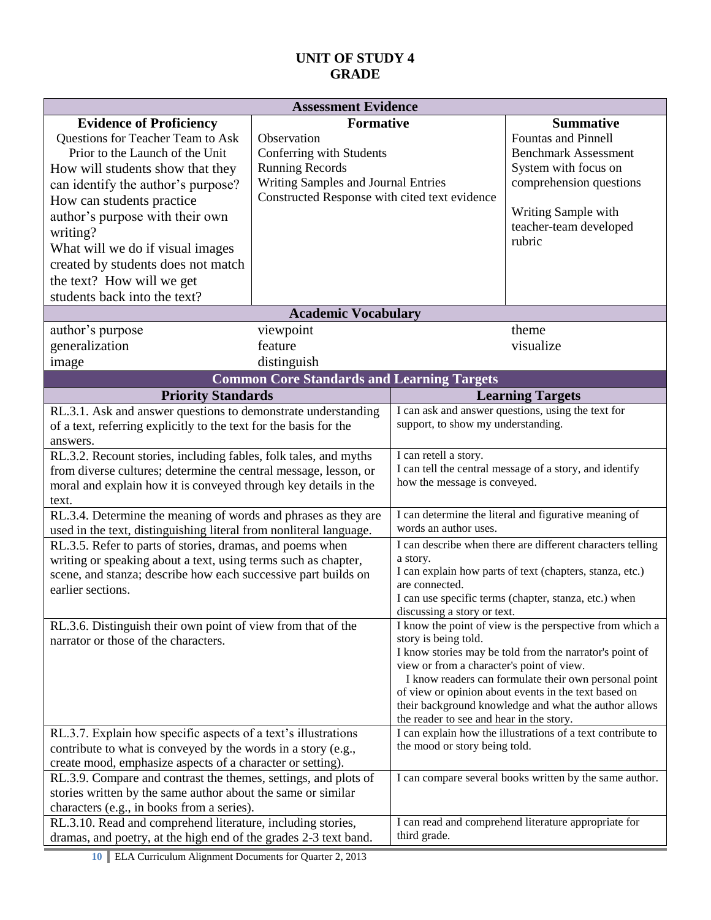| <b>Assessment Evidence</b>                                                                                                                                                                                                                                                                                                                                                                                                                                                                                                                                                                           |                                                                                                                                                                               |                                                                                                                                                                                                                                                                                                                                                                                                                |                                                                                                                                                                                             |
|------------------------------------------------------------------------------------------------------------------------------------------------------------------------------------------------------------------------------------------------------------------------------------------------------------------------------------------------------------------------------------------------------------------------------------------------------------------------------------------------------------------------------------------------------------------------------------------------------|-------------------------------------------------------------------------------------------------------------------------------------------------------------------------------|----------------------------------------------------------------------------------------------------------------------------------------------------------------------------------------------------------------------------------------------------------------------------------------------------------------------------------------------------------------------------------------------------------------|---------------------------------------------------------------------------------------------------------------------------------------------------------------------------------------------|
| <b>Evidence of Proficiency</b><br>Questions for Teacher Team to Ask<br>Prior to the Launch of the Unit<br>How will students show that they<br>can identify the author's purpose?<br>How can students practice<br>author's purpose with their own<br>writing?<br>What will we do if visual images<br>created by students does not match<br>the text? How will we get<br>students back into the text?                                                                                                                                                                                                  | <b>Formative</b><br>Observation<br>Conferring with Students<br><b>Running Records</b><br>Writing Samples and Journal Entries<br>Constructed Response with cited text evidence |                                                                                                                                                                                                                                                                                                                                                                                                                | <b>Summative</b><br><b>Fountas and Pinnell</b><br><b>Benchmark Assessment</b><br>System with focus on<br>comprehension questions<br>Writing Sample with<br>teacher-team developed<br>rubric |
|                                                                                                                                                                                                                                                                                                                                                                                                                                                                                                                                                                                                      | <b>Academic Vocabulary</b>                                                                                                                                                    |                                                                                                                                                                                                                                                                                                                                                                                                                |                                                                                                                                                                                             |
| author's purpose<br>generalization<br>image                                                                                                                                                                                                                                                                                                                                                                                                                                                                                                                                                          | viewpoint<br>feature<br>distinguish<br><b>Common Core Standards and Learning Targets</b>                                                                                      |                                                                                                                                                                                                                                                                                                                                                                                                                | theme<br>visualize                                                                                                                                                                          |
|                                                                                                                                                                                                                                                                                                                                                                                                                                                                                                                                                                                                      |                                                                                                                                                                               |                                                                                                                                                                                                                                                                                                                                                                                                                | <b>Learning Targets</b>                                                                                                                                                                     |
| <b>Priority Standards</b><br>RL.3.1. Ask and answer questions to demonstrate understanding<br>of a text, referring explicitly to the text for the basis for the<br>answers.<br>RL.3.2. Recount stories, including fables, folk tales, and myths<br>from diverse cultures; determine the central message, lesson, or<br>moral and explain how it is conveyed through key details in the<br>text.<br>RL.3.4. Determine the meaning of words and phrases as they are<br>used in the text, distinguishing literal from nonliteral language.<br>RL.3.5. Refer to parts of stories, dramas, and poems when |                                                                                                                                                                               | I can ask and answer questions, using the text for<br>support, to show my understanding.<br>I can retell a story.<br>I can tell the central message of a story, and identify<br>how the message is conveyed.<br>I can determine the literal and figurative meaning of<br>words an author uses.<br>I can describe when there are different characters telling<br>a story.                                       |                                                                                                                                                                                             |
| writing or speaking about a text, using terms such as chapter,<br>scene, and stanza; describe how each successive part builds on<br>earlier sections.                                                                                                                                                                                                                                                                                                                                                                                                                                                |                                                                                                                                                                               | I can explain how parts of text (chapters, stanza, etc.)<br>are connected.<br>I can use specific terms (chapter, stanza, etc.) when<br>discussing a story or text.                                                                                                                                                                                                                                             |                                                                                                                                                                                             |
| RL.3.6. Distinguish their own point of view from that of the<br>narrator or those of the characters.                                                                                                                                                                                                                                                                                                                                                                                                                                                                                                 |                                                                                                                                                                               | I know the point of view is the perspective from which a<br>story is being told.<br>I know stories may be told from the narrator's point of<br>view or from a character's point of view.<br>I know readers can formulate their own personal point<br>of view or opinion about events in the text based on<br>their background knowledge and what the author allows<br>the reader to see and hear in the story. |                                                                                                                                                                                             |
| RL.3.7. Explain how specific aspects of a text's illustrations<br>contribute to what is conveyed by the words in a story (e.g.,<br>create mood, emphasize aspects of a character or setting).<br>RL.3.9. Compare and contrast the themes, settings, and plots of<br>stories written by the same author about the same or similar<br>characters (e.g., in books from a series).                                                                                                                                                                                                                       |                                                                                                                                                                               | the mood or story being told.                                                                                                                                                                                                                                                                                                                                                                                  | I can explain how the illustrations of a text contribute to<br>I can compare several books written by the same author.                                                                      |
| RL.3.10. Read and comprehend literature, including stories,<br>dramas, and poetry, at the high end of the grades 2-3 text band.                                                                                                                                                                                                                                                                                                                                                                                                                                                                      |                                                                                                                                                                               | third grade.                                                                                                                                                                                                                                                                                                                                                                                                   | I can read and comprehend literature appropriate for                                                                                                                                        |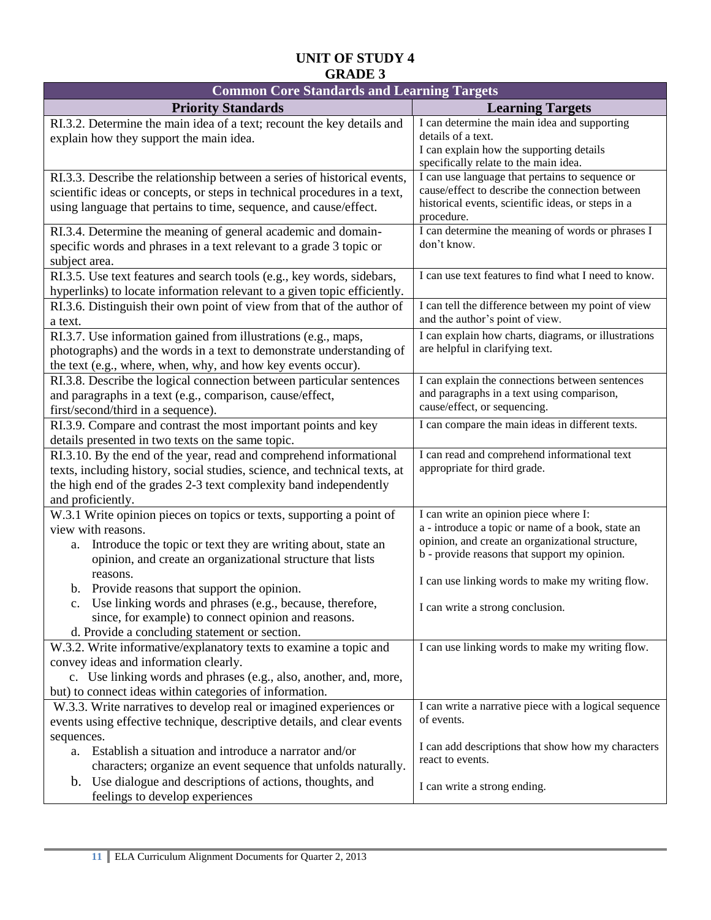| <b>Common Core Standards and Learning Targets</b>                          |                                                                                                    |  |
|----------------------------------------------------------------------------|----------------------------------------------------------------------------------------------------|--|
| <b>Priority Standards</b>                                                  | <b>Learning Targets</b>                                                                            |  |
| RI.3.2. Determine the main idea of a text; recount the key details and     | I can determine the main idea and supporting                                                       |  |
| explain how they support the main idea.                                    | details of a text.                                                                                 |  |
|                                                                            | I can explain how the supporting details                                                           |  |
|                                                                            | specifically relate to the main idea.                                                              |  |
| RI.3.3. Describe the relationship between a series of historical events,   | I can use language that pertains to sequence or<br>cause/effect to describe the connection between |  |
| scientific ideas or concepts, or steps in technical procedures in a text,  | historical events, scientific ideas, or steps in a                                                 |  |
| using language that pertains to time, sequence, and cause/effect.          | procedure.                                                                                         |  |
| RI.3.4. Determine the meaning of general academic and domain-              | I can determine the meaning of words or phrases I                                                  |  |
| specific words and phrases in a text relevant to a grade 3 topic or        | don't know.                                                                                        |  |
| subject area.                                                              |                                                                                                    |  |
| RI.3.5. Use text features and search tools (e.g., key words, sidebars,     | I can use text features to find what I need to know.                                               |  |
| hyperlinks) to locate information relevant to a given topic efficiently.   |                                                                                                    |  |
| RI.3.6. Distinguish their own point of view from that of the author of     | I can tell the difference between my point of view                                                 |  |
| a text.                                                                    | and the author's point of view.                                                                    |  |
| RI.3.7. Use information gained from illustrations (e.g., maps,             | I can explain how charts, diagrams, or illustrations                                               |  |
| photographs) and the words in a text to demonstrate understanding of       | are helpful in clarifying text.                                                                    |  |
| the text (e.g., where, when, why, and how key events occur).               |                                                                                                    |  |
| RI.3.8. Describe the logical connection between particular sentences       | I can explain the connections between sentences                                                    |  |
| and paragraphs in a text (e.g., comparison, cause/effect,                  | and paragraphs in a text using comparison,                                                         |  |
| first/second/third in a sequence).                                         | cause/effect, or sequencing.                                                                       |  |
| RI.3.9. Compare and contrast the most important points and key             | I can compare the main ideas in different texts.                                                   |  |
| details presented in two texts on the same topic.                          |                                                                                                    |  |
| RI.3.10. By the end of the year, read and comprehend informational         | I can read and comprehend informational text                                                       |  |
| texts, including history, social studies, science, and technical texts, at | appropriate for third grade.                                                                       |  |
| the high end of the grades 2-3 text complexity band independently          |                                                                                                    |  |
| and proficiently.                                                          |                                                                                                    |  |
| W.3.1 Write opinion pieces on topics or texts, supporting a point of       | I can write an opinion piece where I:                                                              |  |
| view with reasons.                                                         | a - introduce a topic or name of a book, state an                                                  |  |
| Introduce the topic or text they are writing about, state an<br>a.         | opinion, and create an organizational structure,                                                   |  |
| opinion, and create an organizational structure that lists                 | b - provide reasons that support my opinion.                                                       |  |
| reasons.                                                                   | I can use linking words to make my writing flow.                                                   |  |
| b. Provide reasons that support the opinion.                               |                                                                                                    |  |
| Use linking words and phrases (e.g., because, therefore,<br>c.             | I can write a strong conclusion.                                                                   |  |
| since, for example) to connect opinion and reasons.                        |                                                                                                    |  |
| d. Provide a concluding statement or section.                              |                                                                                                    |  |
| W.3.2. Write informative/explanatory texts to examine a topic and          | I can use linking words to make my writing flow.                                                   |  |
| convey ideas and information clearly.                                      |                                                                                                    |  |
| c. Use linking words and phrases (e.g., also, another, and, more,          |                                                                                                    |  |
| but) to connect ideas within categories of information.                    |                                                                                                    |  |
| W.3.3. Write narratives to develop real or imagined experiences or         | I can write a narrative piece with a logical sequence                                              |  |
| events using effective technique, descriptive details, and clear events    | of events.                                                                                         |  |
| sequences.                                                                 | I can add descriptions that show how my characters                                                 |  |
| Establish a situation and introduce a narrator and/or<br>a.                | react to events.                                                                                   |  |
| characters; organize an event sequence that unfolds naturally.             |                                                                                                    |  |
| Use dialogue and descriptions of actions, thoughts, and<br>$\mathbf{b}$ .  | I can write a strong ending.                                                                       |  |
| feelings to develop experiences                                            |                                                                                                    |  |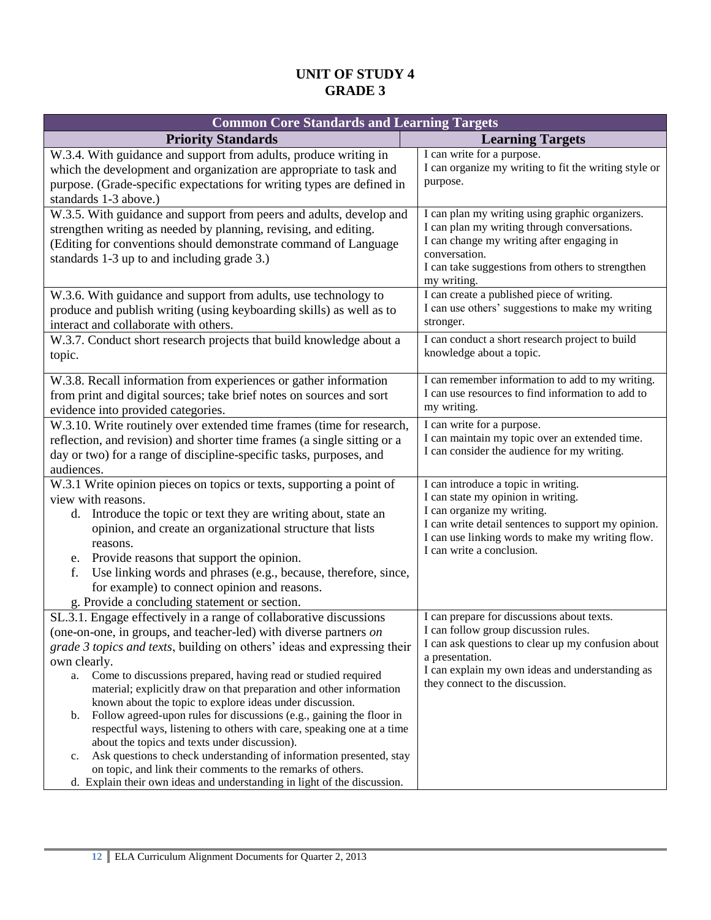| <b>Common Core Standards and Learning Targets</b>                                                                                                                                                                                                                                                                                                                                                                                                                                                                                                                                                                                                                                                                                                                                                                                                                           |                                                                                                                                                                                                                                                   |
|-----------------------------------------------------------------------------------------------------------------------------------------------------------------------------------------------------------------------------------------------------------------------------------------------------------------------------------------------------------------------------------------------------------------------------------------------------------------------------------------------------------------------------------------------------------------------------------------------------------------------------------------------------------------------------------------------------------------------------------------------------------------------------------------------------------------------------------------------------------------------------|---------------------------------------------------------------------------------------------------------------------------------------------------------------------------------------------------------------------------------------------------|
| <b>Priority Standards</b>                                                                                                                                                                                                                                                                                                                                                                                                                                                                                                                                                                                                                                                                                                                                                                                                                                                   | <b>Learning Targets</b>                                                                                                                                                                                                                           |
| W.3.4. With guidance and support from adults, produce writing in<br>which the development and organization are appropriate to task and<br>purpose. (Grade-specific expectations for writing types are defined in<br>standards 1-3 above.)                                                                                                                                                                                                                                                                                                                                                                                                                                                                                                                                                                                                                                   | I can write for a purpose.<br>I can organize my writing to fit the writing style or<br>purpose.                                                                                                                                                   |
| W.3.5. With guidance and support from peers and adults, develop and<br>strengthen writing as needed by planning, revising, and editing.<br>(Editing for conventions should demonstrate command of Language<br>standards 1-3 up to and including grade 3.)                                                                                                                                                                                                                                                                                                                                                                                                                                                                                                                                                                                                                   | I can plan my writing using graphic organizers.<br>I can plan my writing through conversations.<br>I can change my writing after engaging in<br>conversation.<br>I can take suggestions from others to strengthen<br>my writing.                  |
| W.3.6. With guidance and support from adults, use technology to<br>produce and publish writing (using keyboarding skills) as well as to<br>interact and collaborate with others.                                                                                                                                                                                                                                                                                                                                                                                                                                                                                                                                                                                                                                                                                            | I can create a published piece of writing.<br>I can use others' suggestions to make my writing<br>stronger.                                                                                                                                       |
| W.3.7. Conduct short research projects that build knowledge about a<br>topic.                                                                                                                                                                                                                                                                                                                                                                                                                                                                                                                                                                                                                                                                                                                                                                                               | I can conduct a short research project to build<br>knowledge about a topic.                                                                                                                                                                       |
| W.3.8. Recall information from experiences or gather information<br>from print and digital sources; take brief notes on sources and sort<br>evidence into provided categories.                                                                                                                                                                                                                                                                                                                                                                                                                                                                                                                                                                                                                                                                                              | I can remember information to add to my writing.<br>I can use resources to find information to add to<br>my writing.                                                                                                                              |
| W.3.10. Write routinely over extended time frames (time for research,<br>reflection, and revision) and shorter time frames (a single sitting or a<br>day or two) for a range of discipline-specific tasks, purposes, and<br>audiences.                                                                                                                                                                                                                                                                                                                                                                                                                                                                                                                                                                                                                                      | I can write for a purpose.<br>I can maintain my topic over an extended time.<br>I can consider the audience for my writing.                                                                                                                       |
| W.3.1 Write opinion pieces on topics or texts, supporting a point of<br>view with reasons.<br>Introduce the topic or text they are writing about, state an<br>d.<br>opinion, and create an organizational structure that lists<br>reasons.<br>e. Provide reasons that support the opinion.<br>f.<br>Use linking words and phrases (e.g., because, therefore, since,<br>for example) to connect opinion and reasons.<br>g. Provide a concluding statement or section.                                                                                                                                                                                                                                                                                                                                                                                                        | I can introduce a topic in writing.<br>I can state my opinion in writing.<br>I can organize my writing.<br>I can write detail sentences to support my opinion.<br>I can use linking words to make my writing flow.<br>I can write a conclusion.   |
| SL.3.1. Engage effectively in a range of collaborative discussions<br>(one-on-one, in groups, and teacher-led) with diverse partners on<br>grade 3 topics and texts, building on others' ideas and expressing their<br>own clearly.<br>a. Come to discussions prepared, having read or studied required<br>material; explicitly draw on that preparation and other information<br>known about the topic to explore ideas under discussion.<br>Follow agreed-upon rules for discussions (e.g., gaining the floor in<br>b.<br>respectful ways, listening to others with care, speaking one at a time<br>about the topics and texts under discussion).<br>Ask questions to check understanding of information presented, stay<br>c.<br>on topic, and link their comments to the remarks of others.<br>d. Explain their own ideas and understanding in light of the discussion. | I can prepare for discussions about texts.<br>I can follow group discussion rules.<br>I can ask questions to clear up my confusion about<br>a presentation.<br>I can explain my own ideas and understanding as<br>they connect to the discussion. |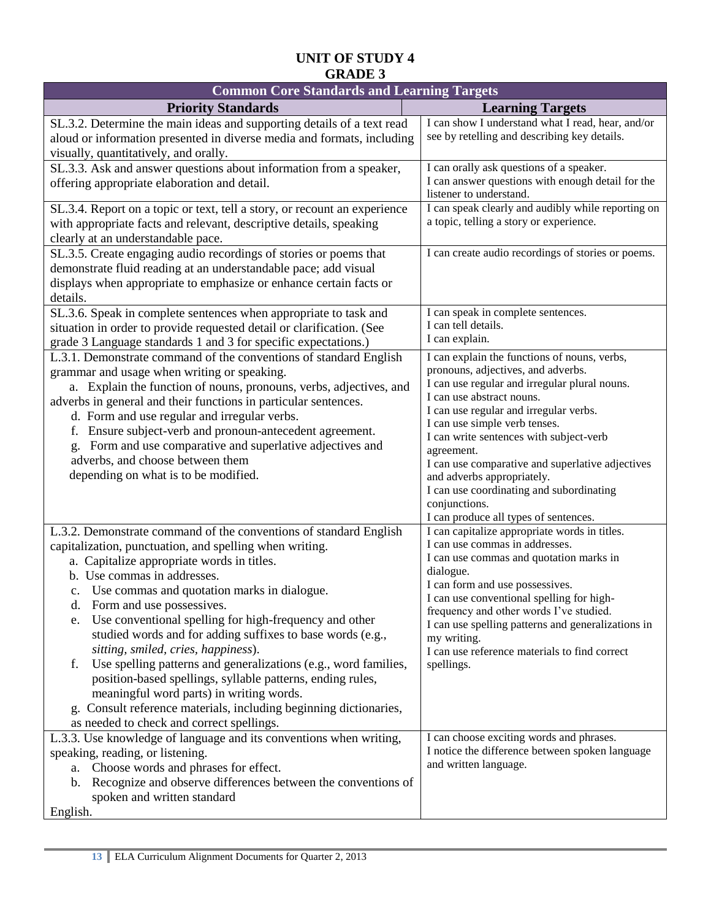| <b>Common Core Standards and Learning Targets</b>                                                                                                                                                                                                                                                                                                                                                                                                                                                                                                                                                                                                                                                                                                                     |                                                                                                                                                                                                                                                                                                                                                                                                                                                                                              |  |  |  |
|-----------------------------------------------------------------------------------------------------------------------------------------------------------------------------------------------------------------------------------------------------------------------------------------------------------------------------------------------------------------------------------------------------------------------------------------------------------------------------------------------------------------------------------------------------------------------------------------------------------------------------------------------------------------------------------------------------------------------------------------------------------------------|----------------------------------------------------------------------------------------------------------------------------------------------------------------------------------------------------------------------------------------------------------------------------------------------------------------------------------------------------------------------------------------------------------------------------------------------------------------------------------------------|--|--|--|
| <b>Priority Standards</b>                                                                                                                                                                                                                                                                                                                                                                                                                                                                                                                                                                                                                                                                                                                                             | <b>Learning Targets</b>                                                                                                                                                                                                                                                                                                                                                                                                                                                                      |  |  |  |
| SL.3.2. Determine the main ideas and supporting details of a text read<br>aloud or information presented in diverse media and formats, including<br>visually, quantitatively, and orally.                                                                                                                                                                                                                                                                                                                                                                                                                                                                                                                                                                             | I can show I understand what I read, hear, and/or<br>see by retelling and describing key details.                                                                                                                                                                                                                                                                                                                                                                                            |  |  |  |
| SL.3.3. Ask and answer questions about information from a speaker,<br>offering appropriate elaboration and detail.                                                                                                                                                                                                                                                                                                                                                                                                                                                                                                                                                                                                                                                    | I can orally ask questions of a speaker.<br>I can answer questions with enough detail for the<br>listener to understand.                                                                                                                                                                                                                                                                                                                                                                     |  |  |  |
| SL.3.4. Report on a topic or text, tell a story, or recount an experience<br>with appropriate facts and relevant, descriptive details, speaking<br>clearly at an understandable pace.                                                                                                                                                                                                                                                                                                                                                                                                                                                                                                                                                                                 | I can speak clearly and audibly while reporting on<br>a topic, telling a story or experience.                                                                                                                                                                                                                                                                                                                                                                                                |  |  |  |
| SL.3.5. Create engaging audio recordings of stories or poems that<br>demonstrate fluid reading at an understandable pace; add visual<br>displays when appropriate to emphasize or enhance certain facts or<br>details.                                                                                                                                                                                                                                                                                                                                                                                                                                                                                                                                                | I can create audio recordings of stories or poems.                                                                                                                                                                                                                                                                                                                                                                                                                                           |  |  |  |
| SL.3.6. Speak in complete sentences when appropriate to task and<br>situation in order to provide requested detail or clarification. (See<br>grade 3 Language standards 1 and 3 for specific expectations.)                                                                                                                                                                                                                                                                                                                                                                                                                                                                                                                                                           | I can speak in complete sentences.<br>I can tell details.<br>I can explain.                                                                                                                                                                                                                                                                                                                                                                                                                  |  |  |  |
| L.3.1. Demonstrate command of the conventions of standard English<br>grammar and usage when writing or speaking.<br>a. Explain the function of nouns, pronouns, verbs, adjectives, and<br>adverbs in general and their functions in particular sentences.<br>d. Form and use regular and irregular verbs.<br>f. Ensure subject-verb and pronoun-antecedent agreement.<br>Form and use comparative and superlative adjectives and<br>adverbs, and choose between them<br>depending on what is to be modified.                                                                                                                                                                                                                                                          | I can explain the functions of nouns, verbs,<br>pronouns, adjectives, and adverbs.<br>I can use regular and irregular plural nouns.<br>I can use abstract nouns.<br>I can use regular and irregular verbs.<br>I can use simple verb tenses.<br>I can write sentences with subject-verb<br>agreement.<br>I can use comparative and superlative adjectives<br>and adverbs appropriately.<br>I can use coordinating and subordinating<br>conjunctions.<br>I can produce all types of sentences. |  |  |  |
| L.3.2. Demonstrate command of the conventions of standard English<br>capitalization, punctuation, and spelling when writing.<br>a. Capitalize appropriate words in titles.<br>b. Use commas in addresses.<br>c. Use commas and quotation marks in dialogue.<br>d. Form and use possessives.<br>Use conventional spelling for high-frequency and other<br>e.<br>studied words and for adding suffixes to base words (e.g.,<br>sitting, smiled, cries, happiness).<br>Use spelling patterns and generalizations (e.g., word families,<br>f.<br>position-based spellings, syllable patterns, ending rules,<br>meaningful word parts) in writing words.<br>g. Consult reference materials, including beginning dictionaries,<br>as needed to check and correct spellings. | I can capitalize appropriate words in titles.<br>I can use commas in addresses.<br>I can use commas and quotation marks in<br>dialogue.<br>I can form and use possessives.<br>I can use conventional spelling for high-<br>frequency and other words I've studied.<br>I can use spelling patterns and generalizations in<br>my writing.<br>I can use reference materials to find correct<br>spellings.                                                                                       |  |  |  |
| L.3.3. Use knowledge of language and its conventions when writing,<br>speaking, reading, or listening.<br>a. Choose words and phrases for effect.<br>Recognize and observe differences between the conventions of<br>b.<br>spoken and written standard<br>English.                                                                                                                                                                                                                                                                                                                                                                                                                                                                                                    | I can choose exciting words and phrases.<br>I notice the difference between spoken language<br>and written language.                                                                                                                                                                                                                                                                                                                                                                         |  |  |  |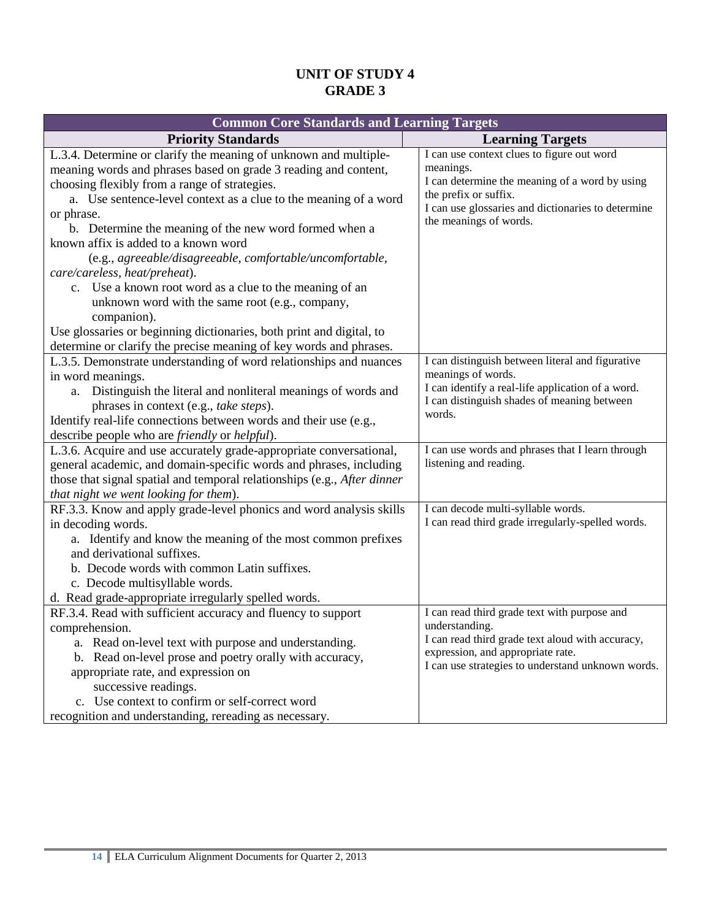| <b>Common Core Standards and Learning Targets</b>                                                                                                                                                                                                                                                                                                                                                                                                                                                                                                                                                                                                                                                                                                 |                                                                                                                                                                                                                    |  |  |  |
|---------------------------------------------------------------------------------------------------------------------------------------------------------------------------------------------------------------------------------------------------------------------------------------------------------------------------------------------------------------------------------------------------------------------------------------------------------------------------------------------------------------------------------------------------------------------------------------------------------------------------------------------------------------------------------------------------------------------------------------------------|--------------------------------------------------------------------------------------------------------------------------------------------------------------------------------------------------------------------|--|--|--|
| <b>Priority Standards</b>                                                                                                                                                                                                                                                                                                                                                                                                                                                                                                                                                                                                                                                                                                                         | <b>Learning Targets</b>                                                                                                                                                                                            |  |  |  |
| L.3.4. Determine or clarify the meaning of unknown and multiple-<br>meaning words and phrases based on grade 3 reading and content,<br>choosing flexibly from a range of strategies.<br>a. Use sentence-level context as a clue to the meaning of a word<br>or phrase.<br>b. Determine the meaning of the new word formed when a<br>known affix is added to a known word<br>(e.g., agreeable/disagreeable, comfortable/uncomfortable,<br>care/careless, heat/preheat).<br>c. Use a known root word as a clue to the meaning of an<br>unknown word with the same root (e.g., company,<br>companion).<br>Use glossaries or beginning dictionaries, both print and digital, to<br>determine or clarify the precise meaning of key words and phrases. | I can use context clues to figure out word<br>meanings.<br>I can determine the meaning of a word by using<br>the prefix or suffix.<br>I can use glossaries and dictionaries to determine<br>the meanings of words. |  |  |  |
| L.3.5. Demonstrate understanding of word relationships and nuances<br>in word meanings.<br>a. Distinguish the literal and nonliteral meanings of words and<br>phrases in context (e.g., take steps).<br>Identify real-life connections between words and their use (e.g.,<br>describe people who are friendly or helpful).                                                                                                                                                                                                                                                                                                                                                                                                                        | I can distinguish between literal and figurative<br>meanings of words.<br>I can identify a real-life application of a word.<br>I can distinguish shades of meaning between<br>words.                               |  |  |  |
| L.3.6. Acquire and use accurately grade-appropriate conversational,<br>general academic, and domain-specific words and phrases, including<br>those that signal spatial and temporal relationships (e.g., After dinner<br>that night we went looking for them).                                                                                                                                                                                                                                                                                                                                                                                                                                                                                    | I can use words and phrases that I learn through<br>listening and reading.                                                                                                                                         |  |  |  |
| RF.3.3. Know and apply grade-level phonics and word analysis skills<br>in decoding words.<br>a. Identify and know the meaning of the most common prefixes<br>and derivational suffixes.<br>b. Decode words with common Latin suffixes.<br>c. Decode multisyllable words.<br>d. Read grade-appropriate irregularly spelled words.                                                                                                                                                                                                                                                                                                                                                                                                                  | I can decode multi-syllable words.<br>I can read third grade irregularly-spelled words.                                                                                                                            |  |  |  |
| RF.3.4. Read with sufficient accuracy and fluency to support<br>comprehension.<br>a. Read on-level text with purpose and understanding.<br>b. Read on-level prose and poetry orally with accuracy,<br>appropriate rate, and expression on<br>successive readings.<br>c. Use context to confirm or self-correct word<br>recognition and understanding, rereading as necessary.                                                                                                                                                                                                                                                                                                                                                                     | I can read third grade text with purpose and<br>understanding.<br>I can read third grade text aloud with accuracy,<br>expression, and appropriate rate.<br>I can use strategies to understand unknown words.       |  |  |  |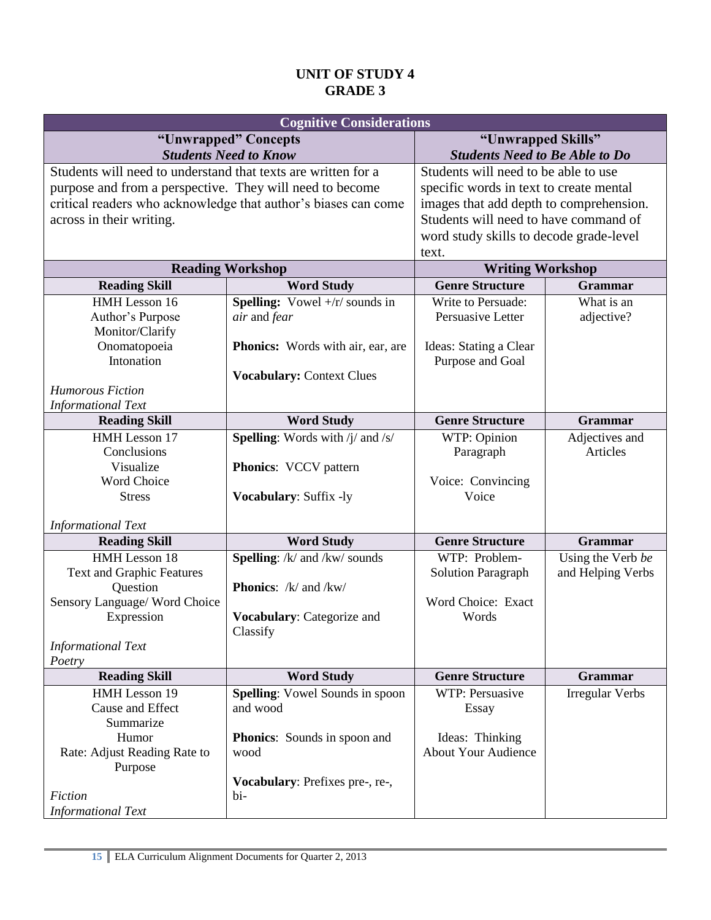|                                                               | <b>Cognitive Considerations</b>                                |                                         |                        |  |
|---------------------------------------------------------------|----------------------------------------------------------------|-----------------------------------------|------------------------|--|
|                                                               | "Unwrapped" Concepts                                           | "Unwrapped Skills"                      |                        |  |
| <b>Students Need to Know</b>                                  | <b>Students Need to Be Able to Do</b>                          |                                         |                        |  |
| Students will need to understand that texts are written for a |                                                                | Students will need to be able to use    |                        |  |
| purpose and from a perspective. They will need to become      |                                                                | specific words in text to create mental |                        |  |
|                                                               | critical readers who acknowledge that author's biases can come | images that add depth to comprehension. |                        |  |
| across in their writing.                                      |                                                                | Students will need to have command of   |                        |  |
|                                                               |                                                                | word study skills to decode grade-level |                        |  |
|                                                               |                                                                | text.                                   |                        |  |
|                                                               | <b>Reading Workshop</b>                                        | <b>Writing Workshop</b>                 |                        |  |
| <b>Reading Skill</b>                                          | <b>Word Study</b>                                              | <b>Genre Structure</b>                  | <b>Grammar</b>         |  |
| HMH Lesson 16                                                 | <b>Spelling:</b> Vowel $+$ /r/ sounds in                       | Write to Persuade:                      | What is an             |  |
| Author's Purpose                                              | air and fear                                                   | Persuasive Letter                       | adjective?             |  |
| Monitor/Clarify                                               |                                                                |                                         |                        |  |
| Onomatopoeia                                                  | <b>Phonics:</b> Words with air, ear, are                       | Ideas: Stating a Clear                  |                        |  |
| Intonation                                                    |                                                                | Purpose and Goal                        |                        |  |
|                                                               | <b>Vocabulary: Context Clues</b>                               |                                         |                        |  |
| <b>Humorous Fiction</b>                                       |                                                                |                                         |                        |  |
| <b>Informational Text</b>                                     |                                                                |                                         |                        |  |
| <b>Reading Skill</b>                                          | <b>Word Study</b>                                              | <b>Genre Structure</b>                  | <b>Grammar</b>         |  |
| HMH Lesson 17                                                 | <b>Spelling:</b> Words with $/i$ and $/s$                      | WTP: Opinion                            | Adjectives and         |  |
| Conclusions<br>Visualize                                      |                                                                | Paragraph                               | Articles               |  |
| Word Choice                                                   | <b>Phonics:</b> VCCV pattern                                   | Voice: Convincing                       |                        |  |
| <b>Stress</b>                                                 | Vocabulary: Suffix -ly                                         | Voice                                   |                        |  |
|                                                               |                                                                |                                         |                        |  |
| <b>Informational Text</b>                                     |                                                                |                                         |                        |  |
| <b>Reading Skill</b>                                          | <b>Word Study</b>                                              | <b>Genre Structure</b>                  | <b>Grammar</b>         |  |
| HMH Lesson 18                                                 | Spelling: /k/ and /kw/ sounds                                  | WTP: Problem-                           | Using the Verb be      |  |
| <b>Text and Graphic Features</b>                              |                                                                | <b>Solution Paragraph</b>               | and Helping Verbs      |  |
| Question                                                      | <b>Phonics:</b> /k/ and /kw/                                   |                                         |                        |  |
| Sensory Language/ Word Choice                                 |                                                                | Word Choice: Exact                      |                        |  |
| Expression                                                    | Vocabulary: Categorize and                                     | Words                                   |                        |  |
|                                                               | Classify                                                       |                                         |                        |  |
| <b>Informational Text</b>                                     |                                                                |                                         |                        |  |
| Poetry                                                        |                                                                |                                         |                        |  |
| <b>Reading Skill</b>                                          | <b>Word Study</b>                                              | <b>Genre Structure</b>                  | Grammar                |  |
| HMH Lesson 19                                                 | <b>Spelling:</b> Vowel Sounds in spoon                         | WTP: Persuasive                         | <b>Irregular Verbs</b> |  |
| Cause and Effect<br>Summarize                                 | and wood                                                       | Essay                                   |                        |  |
| Humor                                                         | <b>Phonics:</b> Sounds in spoon and                            | Ideas: Thinking                         |                        |  |
| Rate: Adjust Reading Rate to                                  | wood                                                           | <b>About Your Audience</b>              |                        |  |
| Purpose                                                       |                                                                |                                         |                        |  |
|                                                               | Vocabulary: Prefixes pre-, re-,                                |                                         |                        |  |
| Fiction                                                       | bi-                                                            |                                         |                        |  |
| <b>Informational Text</b>                                     |                                                                |                                         |                        |  |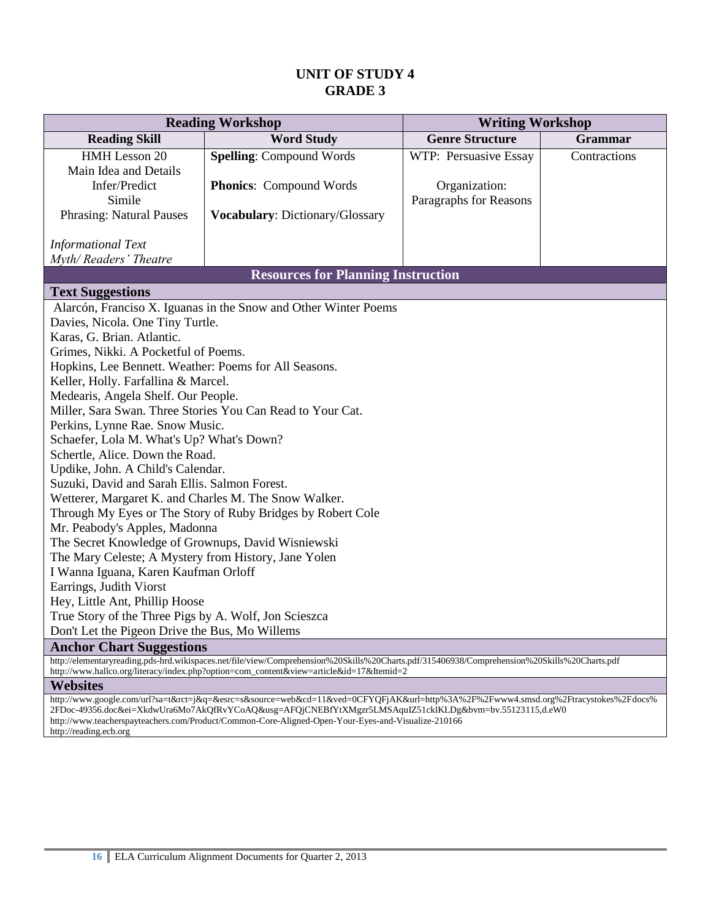| <b>Reading Workshop</b>                               |                                                                                                                                             | <b>Writing Workshop</b>           |              |  |  |
|-------------------------------------------------------|---------------------------------------------------------------------------------------------------------------------------------------------|-----------------------------------|--------------|--|--|
| <b>Reading Skill</b>                                  | <b>Word Study</b>                                                                                                                           | <b>Genre Structure</b><br>Grammar |              |  |  |
| HMH Lesson 20                                         | <b>Spelling: Compound Words</b>                                                                                                             | WTP: Persuasive Essay             | Contractions |  |  |
| Main Idea and Details                                 |                                                                                                                                             |                                   |              |  |  |
| Infer/Predict                                         | <b>Phonics:</b> Compound Words                                                                                                              | Organization:                     |              |  |  |
| Simile                                                |                                                                                                                                             | Paragraphs for Reasons            |              |  |  |
| <b>Phrasing: Natural Pauses</b>                       | Vocabulary: Dictionary/Glossary                                                                                                             |                                   |              |  |  |
| <b>Informational Text</b>                             |                                                                                                                                             |                                   |              |  |  |
| Myth/Readers' Theatre                                 |                                                                                                                                             |                                   |              |  |  |
|                                                       | <b>Resources for Planning Instruction</b>                                                                                                   |                                   |              |  |  |
| <b>Text Suggestions</b>                               |                                                                                                                                             |                                   |              |  |  |
|                                                       | Alarcón, Franciso X. Iguanas in the Snow and Other Winter Poems                                                                             |                                   |              |  |  |
| Davies, Nicola. One Tiny Turtle.                      |                                                                                                                                             |                                   |              |  |  |
| Karas, G. Brian. Atlantic.                            |                                                                                                                                             |                                   |              |  |  |
| Grimes, Nikki. A Pocketful of Poems.                  |                                                                                                                                             |                                   |              |  |  |
| Hopkins, Lee Bennett. Weather: Poems for All Seasons. |                                                                                                                                             |                                   |              |  |  |
| Keller, Holly. Farfallina & Marcel.                   |                                                                                                                                             |                                   |              |  |  |
| Medearis, Angela Shelf. Our People.                   |                                                                                                                                             |                                   |              |  |  |
|                                                       | Miller, Sara Swan. Three Stories You Can Read to Your Cat.                                                                                  |                                   |              |  |  |
| Perkins, Lynne Rae. Snow Music.                       |                                                                                                                                             |                                   |              |  |  |
| Schaefer, Lola M. What's Up? What's Down?             |                                                                                                                                             |                                   |              |  |  |
| Schertle, Alice. Down the Road.                       |                                                                                                                                             |                                   |              |  |  |
| Updike, John. A Child's Calendar.                     |                                                                                                                                             |                                   |              |  |  |
| Suzuki, David and Sarah Ellis. Salmon Forest.         |                                                                                                                                             |                                   |              |  |  |
| Wetterer, Margaret K. and Charles M. The Snow Walker. |                                                                                                                                             |                                   |              |  |  |
|                                                       | Through My Eyes or The Story of Ruby Bridges by Robert Cole                                                                                 |                                   |              |  |  |
| Mr. Peabody's Apples, Madonna                         |                                                                                                                                             |                                   |              |  |  |
| The Secret Knowledge of Grownups, David Wisniewski    |                                                                                                                                             |                                   |              |  |  |
| The Mary Celeste; A Mystery from History, Jane Yolen  |                                                                                                                                             |                                   |              |  |  |
| I Wanna Iguana, Karen Kaufman Orloff                  |                                                                                                                                             |                                   |              |  |  |
| Earrings, Judith Viorst                               |                                                                                                                                             |                                   |              |  |  |
| Hey, Little Ant, Phillip Hoose                        |                                                                                                                                             |                                   |              |  |  |
| True Story of the Three Pigs by A. Wolf, Jon Scieszca |                                                                                                                                             |                                   |              |  |  |
|                                                       | Don't Let the Pigeon Drive the Bus, Mo Willems                                                                                              |                                   |              |  |  |
| <b>Anchor Chart Suggestions</b>                       | http://elementaryreading.pds-hrd.wikispaces.net/file/view/Comprehension%20Skills%20Charts.pdf/315406938/Comprehension%20Skills%20Charts.pdf |                                   |              |  |  |
|                                                       | http://www.hallco.org/literacy/index.php?option=com_content&view=article&id=17&Itemid=2                                                     |                                   |              |  |  |

#### **Websites**

http://www.google.com/url?sa=t&rct=j&q=&esrc=s&source=web&cd=11&ved=0CFYQFjAK&url=http%3A%2F%2Fwww4.smsd.org%2Ftracystokes%2Fdocs% 2FDoc-49356.doc&ei=XkdwUra6Mo7AkQfRvYCoAQ&usg=AFQjCNEBfYtXMgzr5LMSAquIZ51cklKLDg&bvm=bv.55123115,d.eW0 http://www.teacherspayteachers.com/Product/Common-Core-Aligned-Open-Your-Eyes-and-Visualize-210166 http://reading.ecb.org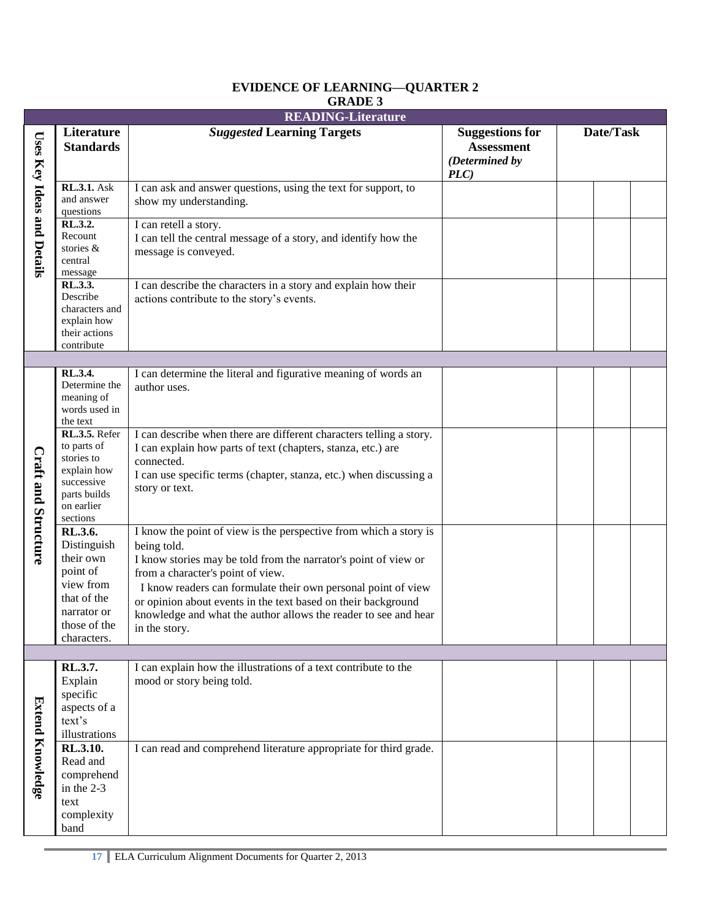|                                   | <b>READING-Literature</b>                                                                                                 |                                                                                                                                                                                                                                                                                                                                                                                                                |                                                                      |  |           |  |
|-----------------------------------|---------------------------------------------------------------------------------------------------------------------------|----------------------------------------------------------------------------------------------------------------------------------------------------------------------------------------------------------------------------------------------------------------------------------------------------------------------------------------------------------------------------------------------------------------|----------------------------------------------------------------------|--|-----------|--|
|                                   | Literature<br><b>Standards</b>                                                                                            | <b>Suggested Learning Targets</b>                                                                                                                                                                                                                                                                                                                                                                              | <b>Suggestions for</b><br><b>Assessment</b><br>(Determined by<br>PLC |  | Date/Task |  |
| <b>Uses Key Ideas and Details</b> | <b>RL.3.1.</b> Ask<br>and answer<br>questions                                                                             | I can ask and answer questions, using the text for support, to<br>show my understanding.                                                                                                                                                                                                                                                                                                                       |                                                                      |  |           |  |
|                                   | RL.3.2.<br>Recount<br>stories &<br>central<br>message                                                                     | I can retell a story.<br>I can tell the central message of a story, and identify how the<br>message is conveyed.                                                                                                                                                                                                                                                                                               |                                                                      |  |           |  |
|                                   | RL.3.3.<br>Describe<br>characters and<br>explain how<br>their actions<br>contribute                                       | I can describe the characters in a story and explain how their<br>actions contribute to the story's events.                                                                                                                                                                                                                                                                                                    |                                                                      |  |           |  |
|                                   |                                                                                                                           |                                                                                                                                                                                                                                                                                                                                                                                                                |                                                                      |  |           |  |
|                                   | RL.3.4.<br>Determine the<br>meaning of<br>words used in<br>the text                                                       | I can determine the literal and figurative meaning of words an<br>author uses.                                                                                                                                                                                                                                                                                                                                 |                                                                      |  |           |  |
| <b>Craft and Structure</b>        | RL.3.5. Refer<br>to parts of<br>stories to<br>explain how<br>successive<br>parts builds<br>on earlier<br>sections         | I can describe when there are different characters telling a story.<br>I can explain how parts of text (chapters, stanza, etc.) are<br>connected.<br>I can use specific terms (chapter, stanza, etc.) when discussing a<br>story or text.                                                                                                                                                                      |                                                                      |  |           |  |
|                                   | RL.3.6.<br>Distinguish<br>their own<br>point of<br>view from<br>that of the<br>narrator or<br>those of the<br>characters. | I know the point of view is the perspective from which a story is<br>being told.<br>I know stories may be told from the narrator's point of view or<br>from a character's point of view.<br>I know readers can formulate their own personal point of view<br>or opinion about events in the text based on their background<br>knowledge and what the author allows the reader to see and hear<br>in the story. |                                                                      |  |           |  |
|                                   |                                                                                                                           |                                                                                                                                                                                                                                                                                                                                                                                                                |                                                                      |  |           |  |
|                                   | RL.3.7.<br>Explain<br>specific<br>aspects of a<br>text's<br>illustrations                                                 | I can explain how the illustrations of a text contribute to the<br>mood or story being told.                                                                                                                                                                                                                                                                                                                   |                                                                      |  |           |  |
| <b>Extend Knowledge</b>           | RL.3.10.<br>Read and<br>comprehend<br>in the 2-3<br>text<br>complexity<br>band                                            | I can read and comprehend literature appropriate for third grade.                                                                                                                                                                                                                                                                                                                                              |                                                                      |  |           |  |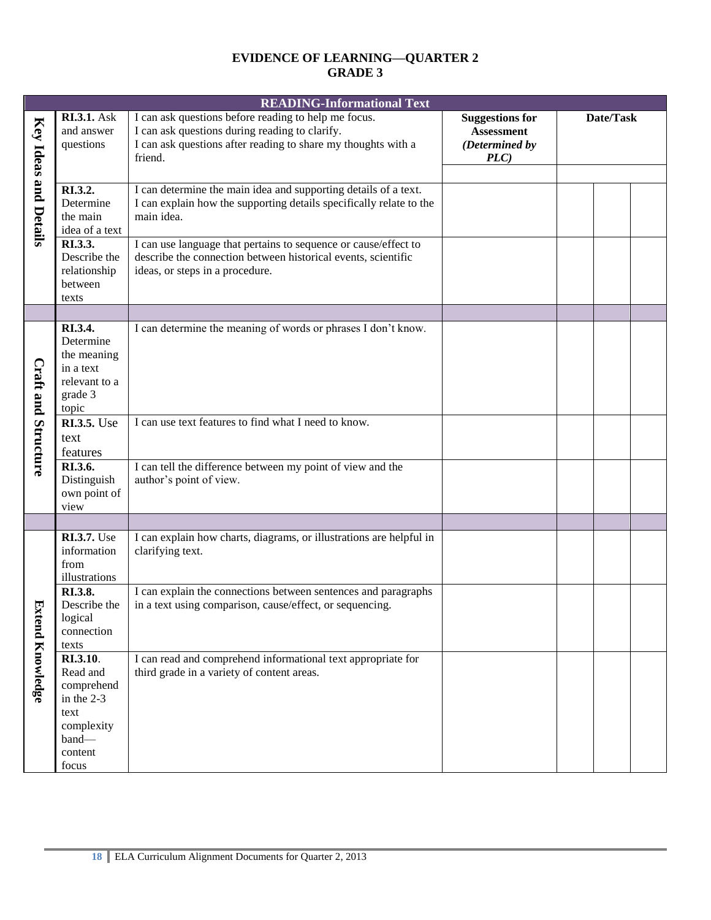|                              | <b>READING-Informational Text</b>                                                                   |                                                                                                                                                                                    |                                                                      |           |  |
|------------------------------|-----------------------------------------------------------------------------------------------------|------------------------------------------------------------------------------------------------------------------------------------------------------------------------------------|----------------------------------------------------------------------|-----------|--|
| <b>Key Ideas and Details</b> | <b>RI.3.1.</b> Ask<br>and answer<br>questions                                                       | I can ask questions before reading to help me focus.<br>I can ask questions during reading to clarify.<br>I can ask questions after reading to share my thoughts with a<br>friend. | <b>Suggestions for</b><br><b>Assessment</b><br>(Determined by<br>PLC | Date/Task |  |
|                              | RI.3.2.<br>Determine<br>the main<br>idea of a text                                                  | I can determine the main idea and supporting details of a text.<br>I can explain how the supporting details specifically relate to the<br>main idea.                               |                                                                      |           |  |
|                              | RI.3.3.<br>Describe the<br>relationship<br>between<br>texts                                         | I can use language that pertains to sequence or cause/effect to<br>describe the connection between historical events, scientific<br>ideas, or steps in a procedure.                |                                                                      |           |  |
| <b>Craft and Structure</b>   | RI.3.4.<br>Determine<br>the meaning<br>in a text<br>relevant to a<br>grade 3<br>topic               | I can determine the meaning of words or phrases I don't know.                                                                                                                      |                                                                      |           |  |
|                              | <b>RI.3.5.</b> Use<br>text<br>features                                                              | I can use text features to find what I need to know.                                                                                                                               |                                                                      |           |  |
|                              | RI.3.6.<br>Distinguish<br>own point of<br>view                                                      | I can tell the difference between my point of view and the<br>author's point of view.                                                                                              |                                                                      |           |  |
|                              |                                                                                                     |                                                                                                                                                                                    |                                                                      |           |  |
| Ð                            | <b>RI.3.7.</b> Use<br>information<br>from<br>illustrations                                          | I can explain how charts, diagrams, or illustrations are helpful in<br>clarifying text.                                                                                            |                                                                      |           |  |
|                              | RI.3.8.<br>Describe the<br>logical<br>connection<br>texts                                           | I can explain the connections between sentences and paragraphs<br>in a text using comparison, cause/effect, or sequencing.                                                         |                                                                      |           |  |
| ttend Knowledge              | RI.3.10.<br>Read and<br>comprehend<br>in the 2-3<br>text<br>complexity<br>band-<br>content<br>focus | I can read and comprehend informational text appropriate for<br>third grade in a variety of content areas.                                                                         |                                                                      |           |  |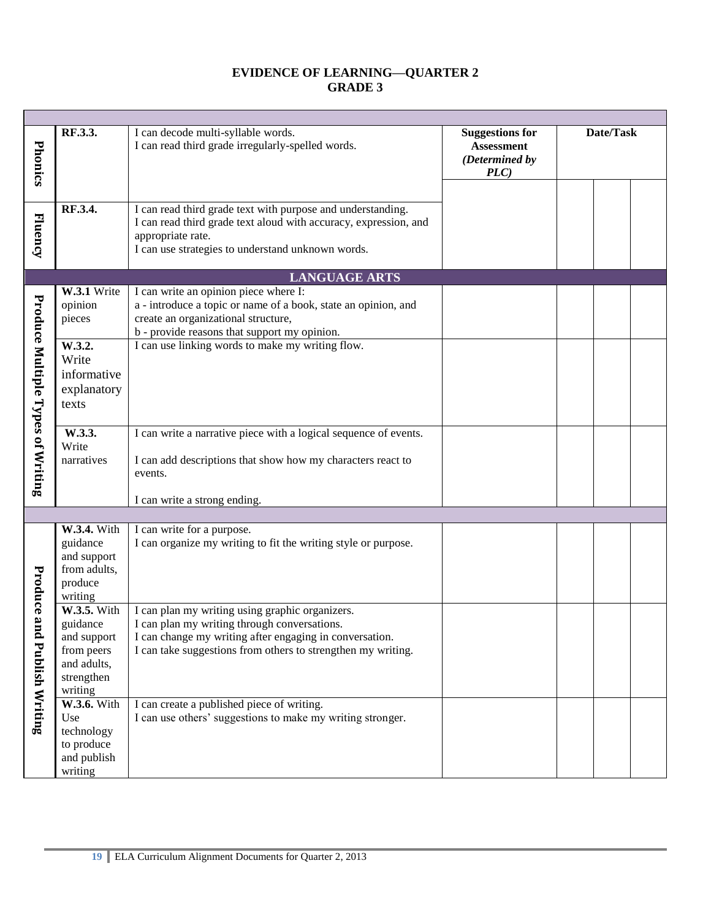| Phonics                           | RF.3.3.                                                                                                                                               | I can decode multi-syllable words.<br>I can read third grade irregularly-spelled words.                                                                                                                                                                                                                                                                                                          | <b>Suggestions for</b><br><b>Assessment</b><br>(Determined by<br>PLC) | Date/Task |  |
|-----------------------------------|-------------------------------------------------------------------------------------------------------------------------------------------------------|--------------------------------------------------------------------------------------------------------------------------------------------------------------------------------------------------------------------------------------------------------------------------------------------------------------------------------------------------------------------------------------------------|-----------------------------------------------------------------------|-----------|--|
|                                   |                                                                                                                                                       |                                                                                                                                                                                                                                                                                                                                                                                                  |                                                                       |           |  |
| Fluency                           | RF.3.4.                                                                                                                                               | I can read third grade text with purpose and understanding.<br>I can read third grade text aloud with accuracy, expression, and<br>appropriate rate.<br>I can use strategies to understand unknown words.                                                                                                                                                                                        |                                                                       |           |  |
|                                   |                                                                                                                                                       | <b>LANGUAGE ARTS</b>                                                                                                                                                                                                                                                                                                                                                                             |                                                                       |           |  |
| Produce Multiple Types of Writing | W.3.1 Write<br>opinion<br>pieces<br>W.3.2.<br>Write<br>informative<br>explanatory<br>texts<br>W.3.3.<br>Write<br>narratives                           | I can write an opinion piece where I:<br>a - introduce a topic or name of a book, state an opinion, and<br>create an organizational structure,<br>b - provide reasons that support my opinion.<br>I can use linking words to make my writing flow.<br>I can write a narrative piece with a logical sequence of events.<br>I can add descriptions that show how my characters react to<br>events. |                                                                       |           |  |
|                                   |                                                                                                                                                       |                                                                                                                                                                                                                                                                                                                                                                                                  |                                                                       |           |  |
|                                   |                                                                                                                                                       | I can write a strong ending.                                                                                                                                                                                                                                                                                                                                                                     |                                                                       |           |  |
| Produce and                       | W.3.4. With<br>guidance<br>and support<br>from adults,<br>produce<br>writing                                                                          | I can write for a purpose.<br>I can organize my writing to fit the writing style or purpose.                                                                                                                                                                                                                                                                                                     |                                                                       |           |  |
| <b>Publish Writing</b>            | W.3.5. With<br>guidance<br>and support<br>from peers<br>and adults,<br>strengthen<br>writing<br><b>W.3.6.</b> With<br>Use<br>technology<br>to produce | I can plan my writing using graphic organizers.<br>I can plan my writing through conversations.<br>I can change my writing after engaging in conversation.<br>I can take suggestions from others to strengthen my writing.<br>I can create a published piece of writing.<br>I can use others' suggestions to make my writing stronger.                                                           |                                                                       |           |  |
|                                   | and publish<br>writing                                                                                                                                |                                                                                                                                                                                                                                                                                                                                                                                                  |                                                                       |           |  |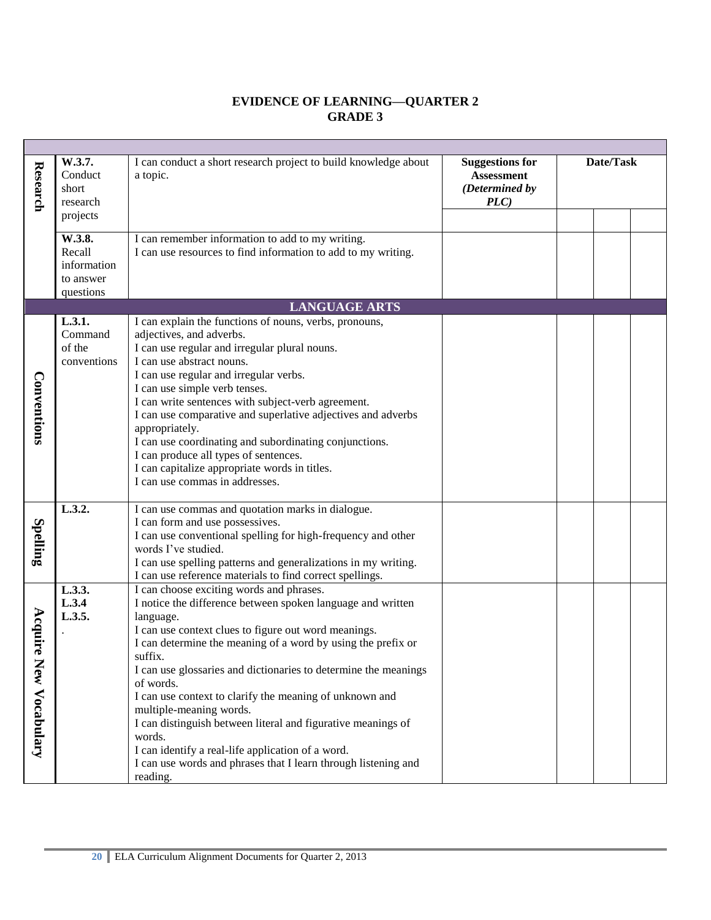| Research                  | W.3.7.<br>Conduct<br>short<br>research                    | I can conduct a short research project to build knowledge about<br>a topic.                                                                                                                                                                                                                                                                                                                                                                                                                                                                                                                                                                | <b>Suggestions for</b><br><b>Assessment</b><br>(Determined by<br>PLC | Date/Task |  |
|---------------------------|-----------------------------------------------------------|--------------------------------------------------------------------------------------------------------------------------------------------------------------------------------------------------------------------------------------------------------------------------------------------------------------------------------------------------------------------------------------------------------------------------------------------------------------------------------------------------------------------------------------------------------------------------------------------------------------------------------------------|----------------------------------------------------------------------|-----------|--|
|                           | projects                                                  |                                                                                                                                                                                                                                                                                                                                                                                                                                                                                                                                                                                                                                            |                                                                      |           |  |
|                           | W.3.8.<br>Recall<br>information<br>to answer<br>questions | I can remember information to add to my writing.<br>I can use resources to find information to add to my writing.                                                                                                                                                                                                                                                                                                                                                                                                                                                                                                                          |                                                                      |           |  |
|                           |                                                           | <b>LANGUAGE ARTS</b>                                                                                                                                                                                                                                                                                                                                                                                                                                                                                                                                                                                                                       |                                                                      |           |  |
| Conventions               | L.3.1.<br>Command<br>of the<br>conventions                | I can explain the functions of nouns, verbs, pronouns,<br>adjectives, and adverbs.<br>I can use regular and irregular plural nouns.<br>I can use abstract nouns.<br>I can use regular and irregular verbs.<br>I can use simple verb tenses.<br>I can write sentences with subject-verb agreement.<br>I can use comparative and superlative adjectives and adverbs<br>appropriately.<br>I can use coordinating and subordinating conjunctions.<br>I can produce all types of sentences.<br>I can capitalize appropriate words in titles.<br>I can use commas in addresses.                                                                  |                                                                      |           |  |
| Spelling                  | L.3.2.                                                    | I can use commas and quotation marks in dialogue.<br>I can form and use possessives.<br>I can use conventional spelling for high-frequency and other<br>words I've studied.<br>I can use spelling patterns and generalizations in my writing.<br>I can use reference materials to find correct spellings.                                                                                                                                                                                                                                                                                                                                  |                                                                      |           |  |
| Acquire<br>New Vocabulary | L.3.3.<br>L.3.4<br>L.3.5.                                 | I can choose exciting words and phrases.<br>I notice the difference between spoken language and written<br>language.<br>I can use context clues to figure out word meanings.<br>I can determine the meaning of a word by using the prefix or<br>suffix.<br>I can use glossaries and dictionaries to determine the meanings<br>of words.<br>I can use context to clarify the meaning of unknown and<br>multiple-meaning words.<br>I can distinguish between literal and figurative meanings of<br>words.<br>I can identify a real-life application of a word.<br>I can use words and phrases that I learn through listening and<br>reading. |                                                                      |           |  |